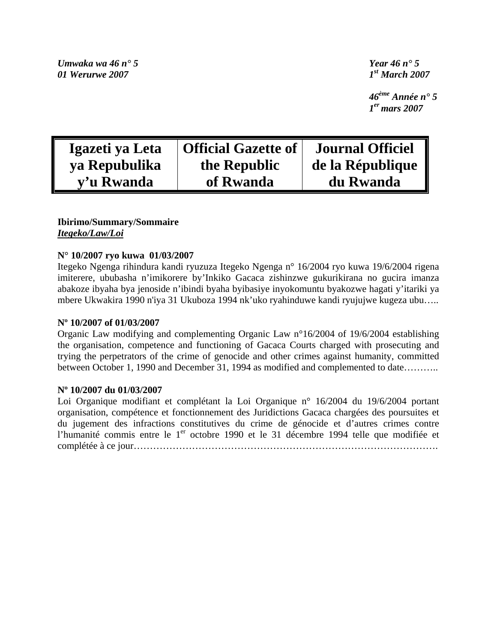*Umwaka wa 46 n° 5 Year 46 n° 5 01 Werurwe 2007 1st March 2007* 

 *46ème Année n° 5 1er mars 2007* 

| Igazeti ya Leta | <b>Official Gazette of</b> | <b>Journal Officiel</b> |
|-----------------|----------------------------|-------------------------|
| ya Repubulika   | the Republic               | de la République        |
| y'u Rwanda      | of Rwanda                  | du Rwanda               |

#### **Ibirimo/Summary/Sommaire**  *Itegeko/Law/Loi*

### **N° 10/2007 ryo kuwa 01/03/2007**

Itegeko Ngenga rihindura kandi ryuzuza Itegeko Ngenga n° 16/2004 ryo kuwa 19/6/2004 rigena imiterere, ububasha n'imikorere by'Inkiko Gacaca zishinzwe gukurikirana no gucira imanza abakoze ibyaha bya jenoside n'ibindi byaha byibasiye inyokomuntu byakozwe hagati y'itariki ya mbere Ukwakira 1990 n'iya 31 Ukuboza 1994 nk'uko ryahinduwe kandi ryujujwe kugeza ubu…..

#### **Nº 10/2007 of 01/03/2007**

Organic Law modifying and complementing Organic Law n°16/2004 of 19/6/2004 establishing the organisation, competence and functioning of Gacaca Courts charged with prosecuting and trying the perpetrators of the crime of genocide and other crimes against humanity, committed between October 1, 1990 and December 31, 1994 as modified and complemented to date……….

#### **Nº 10/2007 du 01/03/2007**

Loi Organique modifiant et complétant la Loi Organique n° 16/2004 du 19/6/2004 portant organisation, compétence et fonctionnement des Juridictions Gacaca chargées des poursuites et du jugement des infractions constitutives du crime de génocide et d'autres crimes contre l'humanité commis entre le 1<sup>er</sup> octobre 1990 et le 31 décembre 1994 telle que modifiée et complétée à ce jour………………………………………………………………………………….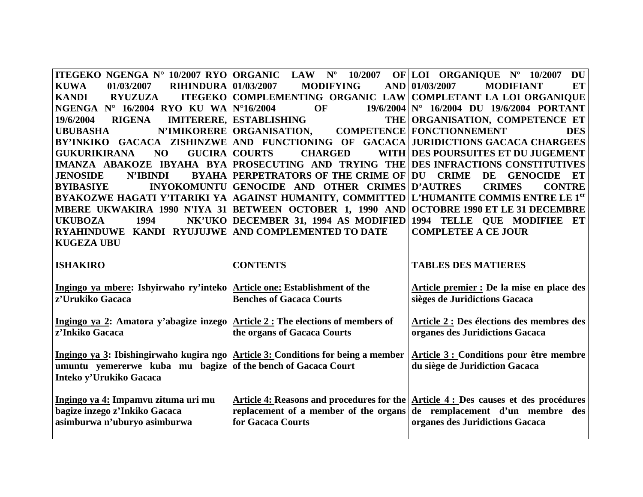|                                                                                        | ITEGEKO NGENGA N° 10/2007 RYO ORGANIC LAW N° 10/2007 OF LOI ORGANIQUE N° 10/2007                    | DU                                                                                            |
|----------------------------------------------------------------------------------------|-----------------------------------------------------------------------------------------------------|-----------------------------------------------------------------------------------------------|
| <b>KUWA</b><br>01/03/2007<br><b>RIHINDURA 01/03/2007</b>                               | <b>MODIFYING</b>                                                                                    | AND 01/03/2007<br><b>MODIFIANT</b><br><b>ET</b>                                               |
| <b>KANDI</b><br><b>RYUZUZA</b>                                                         | ITEGEKO COMPLEMENTING ORGANIC LAW COMPLETANT LA LOI ORGANIQUE                                       |                                                                                               |
| NGENGA N° 16/2004 RYO KU WA N°16/2004                                                  | <b>OF</b>                                                                                           | $19/6/2004$ N° $16/2004$ DU $19/6/2004$ PORTANT                                               |
| <b>RIGENA</b><br>19/6/2004                                                             | <b>IMITERERE, ESTABLISHING</b>                                                                      | THE ORGANISATION, COMPETENCE ET                                                               |
| <b>UBUBASHA</b>                                                                        | N'IMIKORERE   ORGANISATION,                                                                         | <b>COMPETENCE   FONCTIONNEMENT</b><br><b>DES</b>                                              |
|                                                                                        | BY'INKIKO GACACA ZISHINZWE AND FUNCTIONING OF GACACA JURIDICTIONS GACACA CHARGEES                   |                                                                                               |
| <b>GUKURIKIRANA</b><br><b>NO</b>                                                       | <b>GUCIRA COURTS</b><br><b>CHARGED</b>                                                              | WITH DES POURSUITES ET DU JUGEMENT                                                            |
|                                                                                        | IMANZA ABAKOZE IBYAHA BYA PROSECUTING AND TRYING THE DES INFRACTIONS CONSTITUTIVES                  |                                                                                               |
| <b>JENOSIDE</b><br>N'IBINDI                                                            | <b>BYAHA PERPETRATORS OF THE CRIME OF DU CRIME</b>                                                  | DE<br><b>GENOCIDE</b><br>ET                                                                   |
| <b>BYIBASIYE</b>                                                                       | INYOKOMUNTU GENOCIDE AND OTHER CRIMES D'AUTRES                                                      | <b>CRIMES</b><br><b>CONTRE</b>                                                                |
|                                                                                        | BYAKOZWE HAGATI Y'ITARIKI YA AGAINST HUMANITY, COMMITTED L'HUMANITE COMMIS ENTRE LE 1 <sup>er</sup> |                                                                                               |
|                                                                                        | MBERE UKWAKIRA 1990 N'IYA 31 BETWEEN OCTOBER 1, 1990 AND OCTOBRE 1990 ET LE 31 DECEMBRE             |                                                                                               |
| <b>UKUBOZA</b><br>1994                                                                 | NK'UKO DECEMBER 31, 1994 AS MODIFIED 1994 TELLE QUE MODIFIEE ET                                     |                                                                                               |
| RYAHINDUWE KANDI RYUJUJWE AND COMPLEMENTED TO DATE                                     |                                                                                                     | <b>COMPLETEE A CE JOUR</b>                                                                    |
| <b>KUGEZA UBU</b>                                                                      |                                                                                                     |                                                                                               |
|                                                                                        |                                                                                                     |                                                                                               |
| <b>ISHAKIRO</b>                                                                        | <b>CONTENTS</b>                                                                                     | <b>TABLES DES MATIERES</b>                                                                    |
|                                                                                        |                                                                                                     |                                                                                               |
|                                                                                        |                                                                                                     |                                                                                               |
| Ingingo ya mbere: Ishyirwaho ry'inteko Article one: Establishment of the               |                                                                                                     | Article premier : De la mise en place des                                                     |
| z'Urukiko Gacaca                                                                       | <b>Benches of Gacaca Courts</b>                                                                     | sièges de Juridictions Gacaca                                                                 |
|                                                                                        |                                                                                                     |                                                                                               |
| Ingingo ya 2: Amatora y'abagize inzego $\vert$ Article 2 : The elections of members of |                                                                                                     | Article 2 : Des élections des membres des                                                     |
| z'Inkiko Gacaca                                                                        | the organs of Gacaca Courts                                                                         | organes des Juridictions Gacaca                                                               |
|                                                                                        |                                                                                                     |                                                                                               |
|                                                                                        | Ingingo ya 3: Ibishingirwaho kugira ngo $\vert$ Article 3: Conditions for being a member            | Article 3 : Conditions pour être membre                                                       |
| umuntu yemererwe kuba mu bagize of the bench of Gacaca Court                           |                                                                                                     | du siège de Juridiction Gacaca                                                                |
| Inteko y'Urukiko Gacaca                                                                |                                                                                                     |                                                                                               |
|                                                                                        |                                                                                                     |                                                                                               |
| Ingingo ya 4: Impamvu zituma uri mu                                                    |                                                                                                     | Article 4: Reasons and procedures for the $\text{Article } 4$ : Des causes et des procédures  |
| bagize inzego z'Inkiko Gacaca                                                          |                                                                                                     | replacement of a member of the organs $\left  \text{de} \right $ remplacement d'un membre des |
| asimburwa n'uburyo asimburwa                                                           | for Gacaca Courts                                                                                   | organes des Juridictions Gacaca                                                               |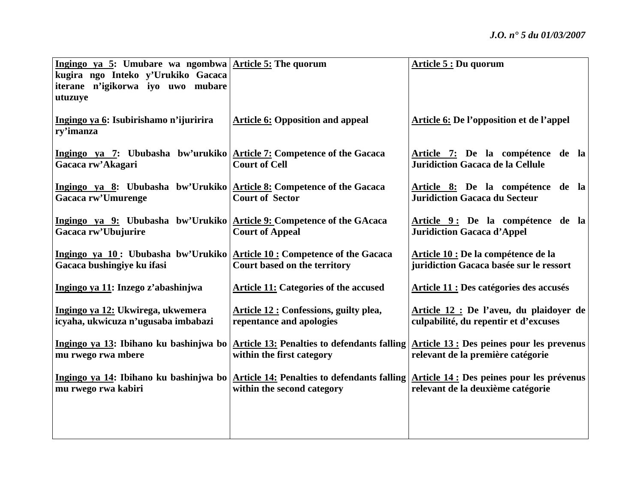| Ingingo ya 5: Umubare wa ngombwa $\vert$ Article 5: The quorum                                        |                                                                    | Article 5 : Du quorum                                                                                                                                            |
|-------------------------------------------------------------------------------------------------------|--------------------------------------------------------------------|------------------------------------------------------------------------------------------------------------------------------------------------------------------|
| kugira ngo Inteko y'Urukiko Gacaca<br>iterane n'igikorwa iyo uwo mubare                               |                                                                    |                                                                                                                                                                  |
| utuzuye                                                                                               |                                                                    |                                                                                                                                                                  |
|                                                                                                       |                                                                    |                                                                                                                                                                  |
| Ingingo ya 6: Isubirishamo n'ijuririra<br>ry'imanza                                                   | <b>Article 6: Opposition and appeal</b>                            | <b>Article 6: De l'opposition et de l'appel</b>                                                                                                                  |
| Ingingo ya 7: Ububasha bw'urukiko Article 7: Competence of the Gacaca<br>Gacaca rw'Akagari            | <b>Court of Cell</b>                                               | Article 7: De la compétence de la<br><b>Juridiction Gacaca de la Cellule</b>                                                                                     |
| Ingingo ya 8: Ububasha bw'Urukiko Article 8: Competence of the Gacaca<br>Gacaca rw'Umurenge           | <b>Court of Sector</b>                                             | Article 8: De la compétence de la<br><b>Juridiction Gacaca du Secteur</b>                                                                                        |
| Ingingo ya 9: Ububasha bw'Urukiko Article 9: Competence of the GAcaca<br>Gacaca rw'Ubujurire          | <b>Court of Appeal</b>                                             | Article 9: De la compétence de la<br><b>Juridiction Gacaca d'Appel</b>                                                                                           |
| Ingingo ya 10: Ububasha bw'Urukiko Article 10: Competence of the Gacaca<br>Gacaca bushingiye ku ifasi | Court based on the territory                                       | Article 10 : De la compétence de la<br>juridiction Gacaca basée sur le ressort                                                                                   |
| Ingingo ya 11: Inzego z'abashinjwa                                                                    | <b>Article 11: Categories of the accused</b>                       | Article 11 : Des catégories des accusés                                                                                                                          |
| Ingingo ya 12: Ukwirega, ukwemera<br>icyaha, ukwicuza n'ugusaba imbabazi                              | Article 12 : Confessions, guilty plea,<br>repentance and apologies | Article 12 : De l'aveu, du plaidoyer de<br>culpabilité, du repentir et d'excuses                                                                                 |
| mu rwego rwa mbere                                                                                    | within the first category                                          | Ingingo ya 13: Ibihano ku bashinjwa bo Article 13: Penalties to defendants falling Article 13: Des peines pour les prevenus<br>relevant de la première catégorie |
| mu rwego rwa kabiri                                                                                   | within the second category                                         | Ingingo ya 14: Ibihano ku bashinjwa bo Article 14: Penalties to defendants falling Article 14: Des peines pour les prévenus<br>relevant de la deuxième catégorie |
|                                                                                                       |                                                                    |                                                                                                                                                                  |
|                                                                                                       |                                                                    |                                                                                                                                                                  |
|                                                                                                       |                                                                    |                                                                                                                                                                  |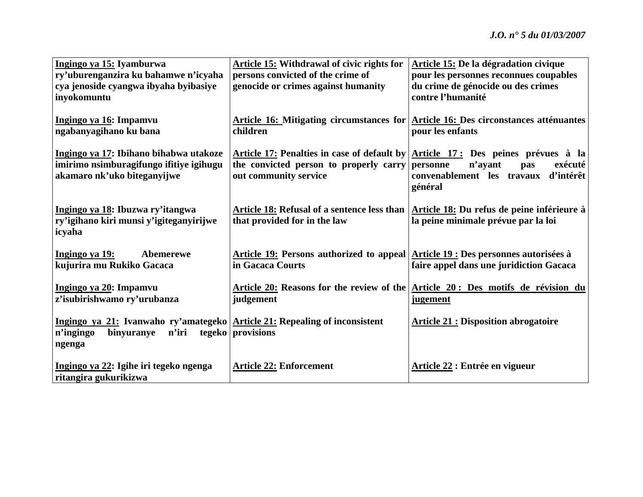| Ingingo ya 15: Iyamburwa                                                   | <b>Article 15: Withdrawal of civic rights for</b>                                | Article 15: De la dégradation civique                                                    |
|----------------------------------------------------------------------------|----------------------------------------------------------------------------------|------------------------------------------------------------------------------------------|
| ry'uburenganzira ku bahamwe n'icyaha                                       | persons convicted of the crime of                                                | pour les personnes reconnues coupables                                                   |
| cya jenoside cyangwa ibyaha byibasiye                                      | genocide or crimes against humanity                                              | du crime de génocide ou des crimes                                                       |
| inyokomuntu                                                                |                                                                                  | contre l'humanité                                                                        |
|                                                                            |                                                                                  |                                                                                          |
| Ingingo ya 16: Impamvu                                                     |                                                                                  | Article 16: Mitigating circumstances for Article 16: Des circonstances atténuantes       |
| ngabanyagihano ku bana                                                     | children                                                                         | pour les enfants                                                                         |
|                                                                            |                                                                                  |                                                                                          |
| Ingingo ya 17: Ibihano bihabwa utakoze                                     |                                                                                  | Article 17: Penalties in case of default by $\vert$ Article 17: Des peines prévues à la  |
|                                                                            |                                                                                  | exécuté                                                                                  |
| imirimo nsimburagifungo ifitiye igihugu                                    | the convicted person to properly carry                                           | personne<br>n'avant<br>pas                                                               |
| akamaro nk'uko biteganyijwe                                                | out community service                                                            | convenablement les travaux<br>d'intérêt                                                  |
|                                                                            |                                                                                  | général                                                                                  |
|                                                                            |                                                                                  |                                                                                          |
| Ingingo ya 18: Ibuzwa ry'itangwa                                           |                                                                                  | Article 18: Refusal of a sentence less than   Article 18: Du refus de peine inférieure à |
| ry'igihano kiri munsi y'igiteganyirijwe                                    | that provided for in the law                                                     | la peine minimale prévue par la loi                                                      |
| icyaha                                                                     |                                                                                  |                                                                                          |
|                                                                            |                                                                                  |                                                                                          |
| Ingingo ya 19:<br>Abemerewe                                                | Article 19: Persons authorized to appeal Article 19 : Des personnes autorisées à |                                                                                          |
| kujurira mu Rukiko Gacaca                                                  | in Gacaca Courts                                                                 | faire appel dans une juridiction Gacaca                                                  |
|                                                                            |                                                                                  |                                                                                          |
| <u>Ingingo ya 20</u> : Impamvu                                             |                                                                                  | Article 20: Reasons for the review of the Article 20: Des motifs de révision du          |
| z'isubirishwamo ry'urubanza                                                | judgement                                                                        | <u>jugement</u>                                                                          |
|                                                                            |                                                                                  |                                                                                          |
| Ingingo ya 21: Ivanwaho ry'amategeko Article 21: Repealing of inconsistent |                                                                                  | <b>Article 21: Disposition abrogatoire</b>                                               |
| n'iri<br>binyuranye                                                        | tegeko provisions                                                                |                                                                                          |
| n'ingingo                                                                  |                                                                                  |                                                                                          |
| ngenga                                                                     |                                                                                  |                                                                                          |
|                                                                            |                                                                                  |                                                                                          |
| Ingingo ya 22: Igihe iri tegeko ngenga                                     | <b>Article 22: Enforcement</b>                                                   | Article 22 : Entrée en vigueur                                                           |
| ritangira gukurikizwa                                                      |                                                                                  |                                                                                          |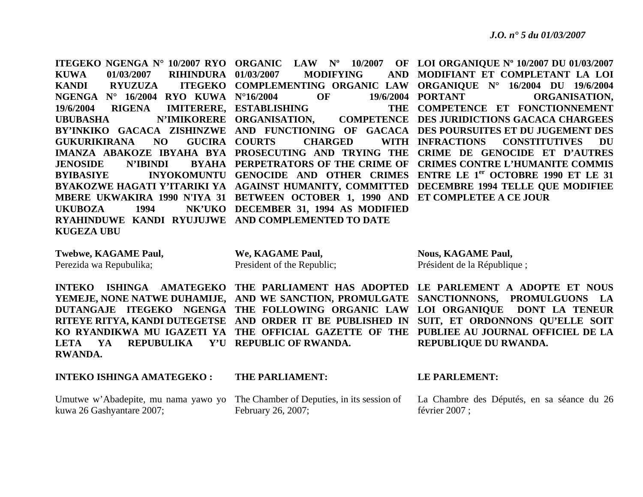**ITEGEKO NGENGA N° 10/2007 RYO ORGANIC LAW Nº 10/2007 OF LOI ORGANIQUE Nº 10/2007 DU 01/03/2007 KUWA 01/03/2007 RIHINDURA KANDI RYUZUZA COMPLEMENTING ORGANIC LAW ORGANIQUE N° 16/2004 DU 19/6/2004 NGENGA N° 16/2004 RYO KUWA N°16/2004 OF 19/6/2004 19/6/2004 RIGENA IMITERERE, ESTABLISHING THE UBUBASHA N'IMIKORERE ORGANISATION, COMPETENCE BY'INKIKO GACACA ZISHINZWE AND FUNCTIONING OF GACACA DES POURSUITES ET DU JUGEMENT DES** GUKURIKIRANA NO GUCIRA COURTS **IMANZA ABAKOZE IBYAHA BYA PROSECUTING AND TRYING THE CRIME DE GENOCIDE ET D'AUTRES JENOSIDE N'IBINDI PERPETRATORS OF THE CRIME OF CRIMES CONTRE L'HUMANITE COMMIS BYIBASIYE INYOKOMUNTU GENOCIDE AND OTHER CRIMES ENTRE LE 1er OCTOBRE 1990 ET LE 31**  BYAKOZWE HAGATI Y'ITARIKI YA AGAINST HUMANITY, COMMITTED DECEMBRE 1994 TELLE QUE MODIFIEE **MBERE UKWAKIRA 1990 N'IYA 31 BETWEEN OCTOBER 1, 1990 AND ET COMPLETEE A CE JOUR UKUBOZA** 1994 **DECEMBER 31, 1994 AS MODIFIED RYAHINDUWE KANDI RYUJUJWE AND COMPLEMENTED TO DATE KUGEZA UBU MODIFYING MODIFIANT ET COMPLETANT LA LOI COMPETENCE ET FONCTIONNEMENT CHARGED WITH INFRACTIONS** 19/6/2004 PORTANT ORGANISATION, **DES JURIDICTIONS GACACA CHARGEES INFRACTIONS CONSTITUTIVES DU** 

**Twebwe, KAGAME Paul,**  Perezida wa Repubulika;

**RWANDA.** 

**We, KAGAME Paul,**  President of the Republic; **Nous, KAGAME Paul,**  Président de la République ;

**INTEKO ISHINGA AMATEGEKO THE PARLIAMENT HAS ADOPTED LE PARLEMENT A ADOPTE ET NOUS YEMEJE, NONE NATWE DUHAMIJE, AND WE SANCTION, PROMULGATE SANCTIONNONS, PROMULGUONS LA DUTANGAJE ITEGEKO NGENGA THE FOLLOWING ORGANIC LAW LOI ORGANIQUE DONT LA TENEUR RITEYE RITYA, KANDI DUTEGETSE AND ORDER IT BE PUBLISHED IN SUIT, ET ORDONNONS QU'ELLE SOIT KO RYANDIKWA MU IGAZETI YA THE OFFICIAL GAZETTE OF THE PUBLIEE AU JOURNAL OFFICIEL DE LA REPUBLIQUE DU RWANDA.** 

#### **INTEKO ISHINGA AMATEGEKO :**

**LETA YA REPUBULIKA Y'U REPUBLIC OF RWANDA.** 

kuwa 26 Gashyantare 2007;

**THE PARLIAMENT:** 

Umutwe w'Abadepite, mu nama yawo yo The Chamber of Deputies, in its session of February 26, 2007;

#### **LE PARLEMENT:**

La Chambre des Députés, en sa séance du 26 février 2007 ;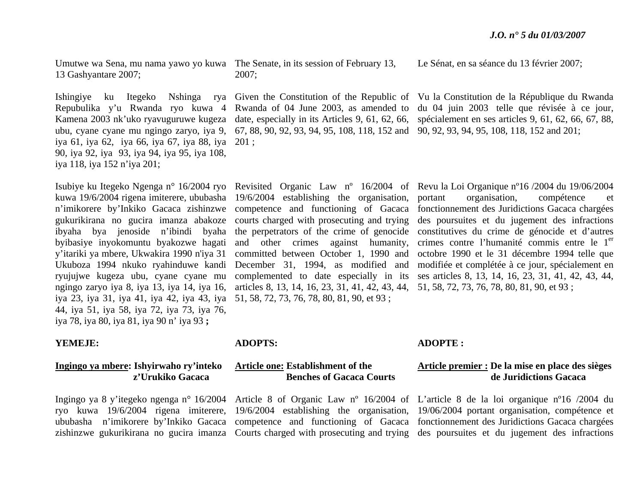Umutwe wa Sena, mu nama yawo yo kuwa The Senate, in its session of February 13, 13 Gashyantare 2007;

iya 61, iya 62, iya 66, iya 67, iya 88, iya 201 ; 90, iya 92, iya 93, iya 94, iya 95, iya 108, iya 118, iya 152 n'iya 201;

iya 23, iya 31, iya 41, iya 42, iya 43, iya 51, 58, 72, 73, 76, 78, 80, 81, 90, et 93 ; 44, iya 51, iya 58, iya 72, iya 73, iya 76, iya 78, iya 80, iya 81, iya 90 n' iya 93 **;** 

#### **YEMEJE:**

#### **Ingingo ya mbere: Ishyirwaho ry'inteko z'Urukiko Gacaca**

2007;

ubu, cyane cyane mu ngingo zaryo, iya 9, 67, 88, 90, 92, 93, 94, 95, 108, 118, 152 and 90, 92, 93, 94, 95, 108, 118, 152 and 201;

kuwa 19/6/2004 rigena imiterere, ububasha 19/6/2004 establishing the organisation, <sup>n</sup>'imikorere by'Inkiko Gacaca zishinzwe competence and functioning of Gacaca gukurikirana no gucira imanza abakoze courts charged with prosecuting and trying byibasiye inyokomuntu byakozwe hagati and other crimes against humanity, y'itariki ya mbere, Ukwakira 1990 n'iya 31 committed between October 1, 1990 and Ukuboza 1994 nkuko ryahinduwe kandi December 31, 1994, as modified and ryujujwe kugeza ubu, cyane cyane mu complemented to date especially in its ngingo zaryo iya 8, iya 13, iya 14, iya 16, articles 8, 13, 14, 16, 23, 31, 41, 42, 43, 44, 51, 58, 72, 73, 76, 78, 80, 81, 90, et 93 ;

#### **ADOPTS:**

#### **Article one: Establishment of the Benches of Gacaca Courts**

Le Sénat, en sa séance du 13 février 2007;

Ishingiye ku Itegeko Nshinga rya Given the Constitution of the Republic of Vu la Constitution de la République du Rwanda Repubulika y'u Rwanda ryo kuwa 4 Rwanda of 04 June 2003, as amended to du 04 juin 2003 telle que révisée à ce jour, Kamena 2003 nk'uko ryavuguruwe kugeza date, especially in its Articles 9, 61, 62, 66, spécialement en ses articles 9, 61, 62, 66, 67, 88,

Isubiye ku Itegeko Ngenga n° 16/2004 ryo Revisited Organic Law n° 16/2004 of Revu la Loi Organique n°16/2004 du 19/06/2004 ibyaha bya jenoside n'ibindi byaha the perpetrators of the crime of genocide constitutives du crime de génocide et d'autres portant organisation, compétence et fonctionnement des Juridictions Gacaca chargées des poursuites et du jugement des infractions crimes contre l'humanité commis entre le 1<sup>er</sup> octobre 1990 et le 31 décembre 1994 telle que modifiée et complétée à ce jour, spécialement en ses articles 8, 13, 14, 16, 23, 31, 41, 42, 43, 44,

### **ADOPTE :**

#### **Article premier : De la mise en place des sièges de Juridictions Gacaca**

Ingingo ya 8 y'itegeko ngenga n° 16/2004 Article 8 of Organic Law n° 16/2004 of L'article 8 de la loi organique n°16 /2004 du ryo kuwa 19/6/2004 rigena imiterere, 19/6/2004 establishing the organisation, 19/06/2004 portant organisation, compétence et ububasha n'imikorere by'Inkiko Gacaca competence and functioning of Gacaca fonctionnement des Juridictions Gacaca chargées zishinzwe gukurikirana no gucira imanza Courts charged with prosecuting and trying des poursuites et du jugement des infractions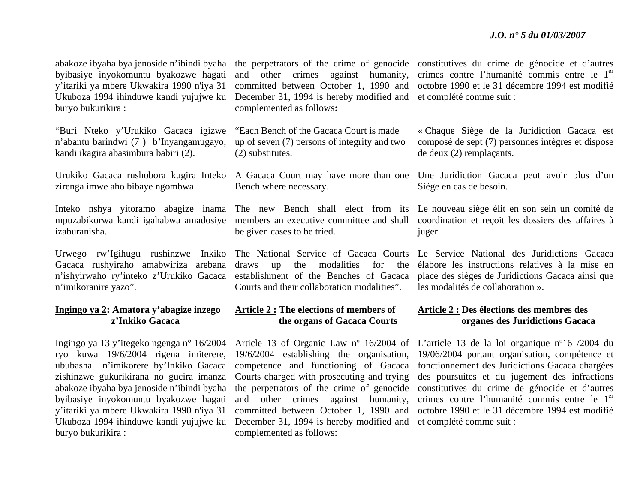byibasiye inyokomuntu byakozwe hagati y'itariki ya mbere Ukwakira 1990 n'iya 31 Ukuboza 1994 ihinduwe kandi yujujwe ku buryo bukurikira :

"Buri Nteko y'Urukiko Gacaca igizwe <sup>n</sup>'abantu barindwi (7 ) b'Inyangamugayo, kandi ikagira abasimbura babiri (2).

zirenga imwe aho bibaye ngombwa.

izaburanisha.

<sup>n</sup>'imikoranire yazo".

#### **Ingingo ya 2: Amatora y'abagize inzego z'Inkiko Gacaca**

Ingingo ya 13 y'itegeko ngenga n° 16/2004 ryo kuwa 19/6/2004 rigena imiterere, ububasha n'imikorere by'Inkiko Gacaca zishinzwe gukurikirana no gucira imanza abakoze ibyaha bya jenoside n'ibindi byaha byibasiye inyokomuntu byakozwe hagati y'itariki ya mbere Ukwakira 1990 n'iya 31 buryo bukurikira :

and other crimes against humanity, December 31, 1994 is hereby modified and et complété comme suit : complemented as follows**:** 

"Each Bench of the Gacaca Court is made up of seven (7) persons of integrity and two (2) substitutes.

Bench where necessary.

be given cases to be tried.

Urwego rw'Igihugu rushinzwe Inkiko The National Service of Gacaca Courts Gacaca rushyiraho amabwiriza arebana draws up the modalities for the <sup>n</sup>'ishyirwaho ry'inteko z'Urukiko Gacaca establishment of the Benches of Gacaca Courts and their collaboration modalities".

#### **Article 2 : The elections of members of the organs of Gacaca Courts**

Ukuboza 1994 ihinduwe kandi yujujwe ku December 31, 1994 is hereby modified and et complété comme suit : Article 13 of Organic Law nº 16/2004 of 19/6/2004 establishing the organisation, competence and functioning of Gacaca Courts charged with prosecuting and trying the perpetrators of the crime of genocide and other crimes against humanity, committed between October 1, 1990 and complemented as follows:

abakoze ibyaha bya jenoside n'ibindi byaha the perpetrators of the crime of genocide constitutives du crime de génocide et d'autres committed between October 1, 1990 and octobre 1990 et le 31 décembre 1994 est modifié crimes contre l'humanité commis entre le 1<sup>er</sup>

> « Chaque Siège de la Juridiction Gacaca est composé de sept (7) personnes intègres et dispose de deux (2) remplaçants.

Urukiko Gacaca rushobora kugira Inteko A Gacaca Court may have more than one Une Juridiction Gacaca peut avoir plus d'un Siège en cas de besoin.

Inteko nshya yitoramo abagize inama The new Bench shall elect from its Le nouveau siège élit en son sein un comité de mpuzabikorwa kandi igahabwa amadosiye members an executive committee and shall coordination et reçoit les dossiers des affaires à juger.

> Le Service National des Juridictions Gacaca élabore les instructions relatives à la mise en place des sièges de Juridictions Gacaca ainsi que les modalités de collaboration ».

#### **Article 2 : Des élections des membres des organes des Juridictions Gacaca**

L'article 13 de la loi organique nº16 /2004 du 19/06/2004 portant organisation, compétence et fonctionnement des Juridictions Gacaca chargées des poursuites et du jugement des infractions constitutives du crime de génocide et d'autres crimes contre l'humanité commis entre le 1<sup>er</sup> octobre 1990 et le 31 décembre 1994 est modifié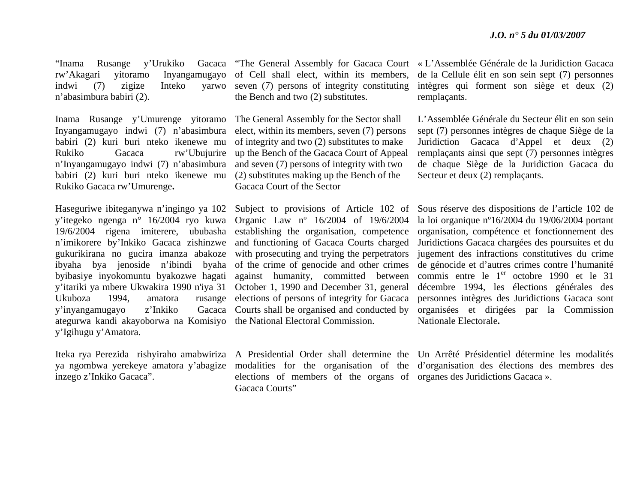rw'Akagari yitoramo Inyangamugayo of Cell shall elect, within its members, indwi (7) zigize Inteko yarwo seven (7) persons of integrity constituting <sup>n</sup>'abasimbura babiri (2).

Inama Rusange y'Umurenge yitoramo The General Assembly for the Sector shall Inyangamugayo indwi (7) n'abasimbura babiri (2) kuri buri nteko ikenewe mu Rukiko Gacaca rw'Ubujurire up the Bench of the Gacaca Court of Appeal <sup>n</sup>'Inyangamugayo indwi (7) n'abasimbura babiri (2) kuri buri nteko ikenewe mu Rukiko Gacaca rw'Umurenge**.** 

Ukuboza 1994, amatora y'inyangamugayo z'Inkiko ategurwa kandi akayoborwa na Komisiyo the National Electoral Commission. y'Igihugu y'Amatora.

inzego z'Inkiko Gacaca".

the Bench and two (2) substitutes.

elect, within its members, seven (7) persons of integrity and two (2) substitutes to make and seven (7) persons of integrity with two (2) substitutes making up the Bench of the Gacaca Court of the Sector

y'itegeko ngenga n° 16/2004 ryo kuwa Organic Law nº 16/2004 of 19/6/2004 19/6/2004 rigena imiterere, ububasha establishing the organisation, competence <sup>n</sup>'imikorere by'Inkiko Gacaca zishinzwe and functioning of Gacaca Courts charged gukurikirana no gucira imanza abakoze with prosecuting and trying the perpetrators ibyaha bya jenoside n'ibindi byaha of the crime of genocide and other crimes byibasiye inyokomuntu byakozwe hagati against humanity, committed between y'itariki ya mbere Ukwakira 1990 n'iya 31 October 1, 1990 and December 31, general rusange elections of persons of integrity for Gacaca Gacaca Courts shall be organised and conducted by

> elections of members of the organs of organes des Juridictions Gacaca ». Gacaca Courts"

"Inama Rusange y'Urukiko Gacaca "The General Assembly for Gacaca Court « L'Assemblée Générale de la Juridiction Gacaca de la Cellule élit en son sein sept (7) personnes intègres qui forment son siège et deux (2) remplaçants.

> L'Assemblée Générale du Secteur élit en son sein sept (7) personnes intègres de chaque Siège de la Juridiction Gacaca d'Appel et deux (2) remplaçants ainsi que sept (7) personnes intègres de chaque Siège de la Juridiction Gacaca du Secteur et deux (2) remplaçants.

Haseguriwe ibiteganywa n'ingingo ya 102 Subject to provisions of Article 102 of Sous réserve des dispositions de l'article 102 de la loi organique nº16/2004 du 19/06/2004 portant organisation, compétence et fonctionnement des Juridictions Gacaca chargées des poursuites et du jugement des infractions constitutives du crime de génocide et d'autres crimes contre l'humanité commis entre le  $1<sup>er</sup>$  octobre 1990 et le 31 décembre 1994, les élections générales des personnes intègres des Juridictions Gacaca sont organisées et dirigées par la Commission Nationale Electorale**.** 

Iteka rya Perezida rishyiraho amabwiriza A Presidential Order shall determine the Un Arrêté Présidentiel détermine les modalités ya ngombwa yerekeye amatora y'abagize modalities for the organisation of the d'organisation des élections des membres des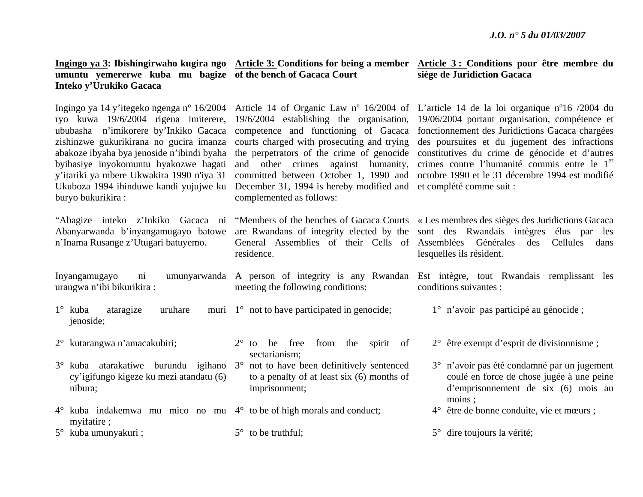| Ingingo ya 3: Ibishingirwaho kugira ngo |  |  |  |  |
|-----------------------------------------|--|--|--|--|
| umuntu yemererwe kuba mu bagize q       |  |  |  |  |
| Inteko y'Urukiko Gacaca                 |  |  |  |  |

Ingingo ya 14 y'itegeko ngenga n° 16/2004 ryo kuwa 19/6/2004 rigena imiterere, 19/6/2004 establishing the organisation, 19/06/2004 portant organisation, compétence et ububasha n'imikorere by'Inkiko Gacaca competence and functioning of Gacaca zishinzwe gukurikirana no gucira imanza courts charged with prosecuting and trying abakoze ibyaha bya jenoside n'ibindi byaha byibasiye inyokomuntu byakozwe hagati y'itariki ya mbere Ukwakira 1990 n'iya 31 Ukuboza 1994 ihinduwe kandi yujujwe ku December 31, 1994 is hereby modified and et complété comme suit : buryo bukurikira :

<sup>n</sup>'Inama Rusange z'Utugari batuyemo.

urangwa n'ibi bikurikira :

- 1° kuba ataragize uruhare jenoside;
- 2° kutarangwa n'amacakubiri;
- 3° kuba atarakatiwe burundu igihano 3° not to have been definitively sentenced cy'igifungo kigeze ku mezi atandatu (6) nibura;
- 4° kuba indakemwa mu mico no mu 4° to be of high morals and conduct; myifatire ;
- 5° kuba umunyakuri ;

Article 3: Conditions for being a member Article 3: Conditions pour être membre du **of the bench of Gacaca Court** 

# **siège de Juridiction Gacaca**

lesquelles ils résident.

Article 14 of Organic Law nº 16/2004 of L'article 14 de la loi organique nº16 /2004 du the perpetrators of the crime of genocide constitutives du crime de génocide et d'autres and other crimes against humanity, committed between October 1, 1990 and octobre 1990 et le 31 décembre 1994 est modifié complemented as follows: fonctionnement des Juridictions Gacaca chargées

General Assemblies of their Cells of Assemblées Générales des Cellules dans residence.

meeting the following conditions:

- 1° not to have participated in genocide;
	- 2° to be free from the spirit of sectarianism;
	- to a penalty of at least six (6) months of imprisonment;
	-

 $5^\circ$  to be truthful;

"Abagize inteko z'Inkiko Gacaca ni "Members of the benches of Gacaca Courts « Les membres des sièges des Juridictions Gacaca Abanyarwanda b'inyangamugayo batowe are Rwandans of integrity elected by the sont des Rwandais intègres élus par les

des poursuites et du jugement des infractions

crimes contre l'humanité commis entre le 1<sup>er</sup>

Inyangamugayo ni umunyarwanda A person of integrity is any Rwandan Est intègre, tout Rwandais remplissant les conditions suivantes :

- 1° <sup>n</sup>'avoir pas participé au génocide ;
- 2° être exempt d'esprit de divisionnisme ;
- 3° <sup>n</sup>'avoir pas été condamné par un jugement coulé en force de chose jugée à une peine d'emprisonnement de six (6) mois au moins ;
- 4° être de bonne conduite, vie et mœurs ;
- 5° dire toujours la vérité;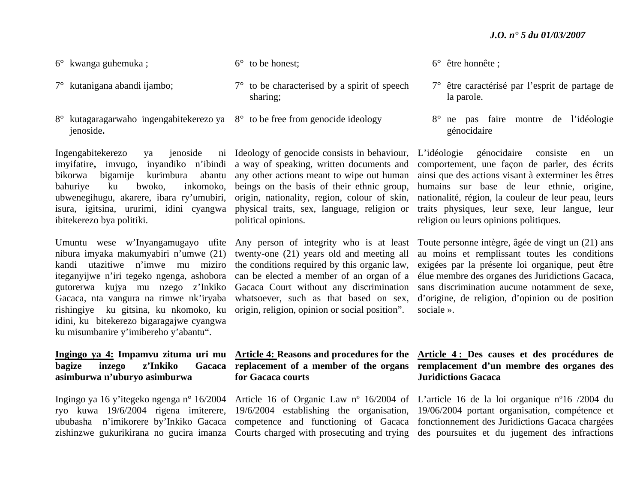- 6° kwanga guhemuka ;
- 7° kutanigana abandi ijambo;
- 8° kutagaragarwaho ingengabitekerezo ya 8° to be free from genocide ideology jenoside**.**

Ingengabitekerezo ya jenoside imyifatire**,** imvugo, inyandiko n'ibindi a way of speaking, written documents and bikorwabahuriye ku bwoko, inkomoko, ubwenegihugu, akarere, ibara ry'umubiri, origin, nationality, region, colour of skin, isura, igitsina, ururimi, idini cyangwa physical traits, sex, language, religion or ibitekerezo bya politiki.

Umuntu wese w'Inyangamugayo ufite Any person of integrity who is at least nibura imyaka makumyabiri n'umwe (21) twenty-one (21) years old and meeting all kandi utazitiwe n'imwe mu miziro the conditions required by this organic law, iteganyijwe n'iri tegeko ngenga, ashobora can be elected a member of an organ of a gutorerwa kujya mu nzego z'Inkiko Gacaca Court without any discrimination rishingiye ku gitsina, ku nkomoko, ku origin, religion, opinion or social position". idini, ku bitekerezo bigaragajwe cyangwa ku misumbanire y'imibereho y'abantu".

### **bagize inzego z'Inkiko asimburwa n'uburyo asimburwa**

 bigamije kurimbura abantu any other actions meant to wipe out human Ideology of genocide consists in behaviour, beings on the basis of their ethnic group, political opinions.

# **for Gacaca courts**

6° être honnête ;

- 7° être caractérisé par l'esprit de partage de la parole.
- 8° ne pas faire montre de l'idéologie génocidaire

L'idéologie génocidaire consiste en un comportement, une façon de parler, des écrits ainsi que des actions visant à exterminer les êtres humains sur base de leur ethnie, origine, nationalité, région, la couleur de leur peau, leurs traits physiques, leur sexe, leur langue, leur religion ou leurs opinions politiques.

Gacaca, nta vangura na rimwe nk'iryaba whatsoever, such as that based on sex, d'origine, de religion, d'opinion ou de position Toute personne intègre, âgée de vingt un (21) ans au moins et remplissant toutes les conditions exigées par la présente loi organique, peut être élue membre des organes des Juridictions Gacaca, sans discrimination aucune notamment de sexe, sociale ».

#### **Ingingo ya 4: Impamvu zituma uri mu Article 4: Reasons and procedures for the Article 4 : Des causes et des procédures de replacement of a member of the organs remplacement d'un membre des organes des Juridictions Gacaca**

Ingingo ya 16 y'itegeko ngenga n° 16/2004 Article 16 of Organic Law nº 16/2004 of L'article 16 de la loi organique nº16 /2004 du ryo kuwa 19/6/2004 rigena imiterere, 19/6/2004 establishing the organisation, 19/06/2004 portant organisation, compétence et ububasha n'imikorere by'Inkiko Gacaca competence and functioning of Gacaca fonctionnement des Juridictions Gacaca chargées zishinzwe gukurikirana no gucira imanza Courts charged with prosecuting and trying des poursuites et du jugement des infractions

 $6^{\circ}$  to be honest;

- 7° to be characterised by a spirit of speech sharing;
-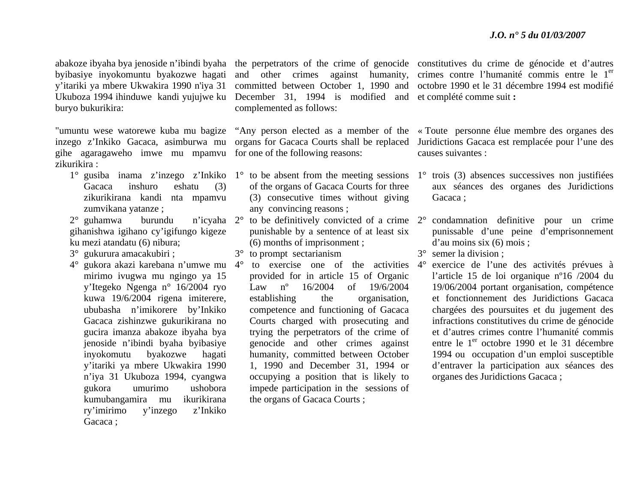Ukuboza 1994 ihinduwe kandi yujujwe ku December 31, 1994 is modified and et complété comme suit **:** buryo bukurikira:

inzego z'Inkiko Gacaca, asimburwa mu organs for Gacaca Courts shall be replaced gihe agaragaweho imwe mu mpamvu for one of the following reasons: zikurikira :

- Gacaca inshuro eshatu (3) zikurikirana kandi nta mpamvu zumvikana yatanze ;
- $2^{\circ}$  guhamwa burundu gihanishwa igihano cy'igifungo kigeze ku mezi atandatu (6) nibura;
- 3° gukurura amacakubiri ;
- mirimo ivugwa mu ngingo ya 15 y'Itegeko Ngenga n° 16/2004 ryo kuwa 19/6/2004 rigena imiterere, ububasha n'imikorere by'Inkiko Gacaca zishinzwe gukurikirana no gucira imanza abakoze ibyaha bya jenoside n'ibindi byaha byibasiye inyokomutu byakozwe hagati y'itariki ya mbere Ukwakira 1990 <sup>n</sup>'iya 31 Ukuboza 1994, cyangwa gukora umurimo ushobora kumubangamira mu ikurikirana ry'imirimo y'inzego z'Inkiko Gacaca :

complemented as follows:

- of the organs of Gacaca Courts for three (3) consecutive times without giving any convincing reasons ;
- punishable by a sentence of at least six (6) months of imprisonment ;
- 3° to prompt sectarianism
- provided for in article 15 of Organic Law nº 16/2004 of 19/6/2004 establishing the organisation, competence and functioning of Gacaca Courts charged with prosecuting and trying the perpetrators of the crime of genocide and other crimes against humanity, committed between October 1, 1990 and December 31, 1994 or occupying a position that is likely to impede participation in the sessions of the organs of Gacaca Courts ;

abakoze ibyaha bya jenoside n'ibindi byaha the perpetrators of the crime of genocide constitutives du crime de génocide et d'autres byibasiye inyokomuntu byakozwe hagati and other crimes against humanity, crimes contre l'humanité commis entre le 1<sup>er</sup> y'itariki ya mbere Ukwakira 1990 n'iya 31 committed between October 1, 1990 and octobre 1990 et le 31 décembre 1994 est modifié

"umuntu wese watorewe kuba mu bagize "Any person elected as a member of the « Toute personne élue membre des organes des Juridictions Gacaca est remplacée pour l'une des causes suivantes :

- 1° gusiba inama z'inzego z'Inkiko 1° to be absent from the meeting sessions 1° trois (3) absences successives non justifiées aux séances des organes des Juridictions Gacaca:
	- 2° to be definitively convicted of a crime 2° condamnation definitive pour un crime punissable d'une peine d'emprisonnement d'au moins six (6) mois ;
		- 3° semer la division ;
- 4° gukora akazi karebana n'umwe mu 4° to exercise one of the activities 4° exercice de l'une des activités prévues à l'article 15 de loi organique nº16 /2004 du 19/06/2004 portant organisation, compétence et fonctionnement des Juridictions Gacaca chargées des poursuites et du jugement des infractions constitutives du crime de génocide et d'autres crimes contre l'humanité commis entre le 1<sup>er</sup> octobre 1990 et le 31 décembre 1994 ou occupation d'un emploi susceptible d'entraver la participation aux séances des organes des Juridictions Gacaca ;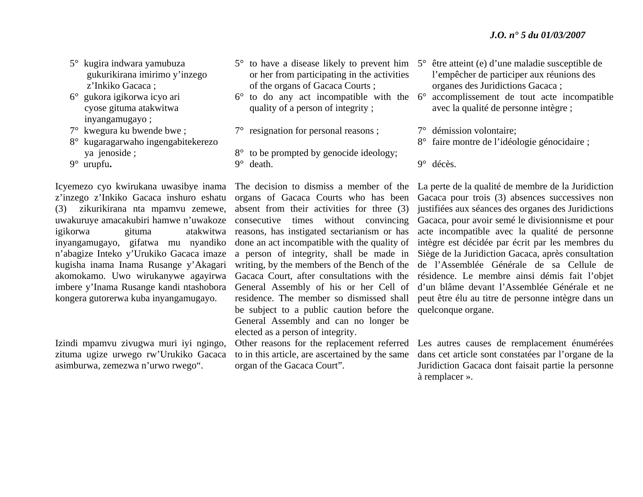- 5° kugira indwara yamubuza gukurikirana imirimo y'inzego <sup>z</sup>'Inkiko Gacaca ;
- 6° gukora igikorwa icyo ari cyose gituma atakwitwa inyangamugayo ;
- 7° kwegura ku bwende bwe ;
- 8° kugaragarwaho ingengabitekerezo ya jenoside ;
- 9° urupfu**.**

Icyemezo cyo kwirukana uwasibye inama <sup>z</sup>'inzego z'Inkiko Gacaca inshuro eshatu (3) zikurikirana nta mpamvu zemewe, uwakuruye amacakubiri hamwe n'uwakoze inyangamugayo, gifatwa mu nyandiko <sup>n</sup>'abagize Inteko y'Urukiko Gacaca imaze kugisha inama Inama Rusange y'Akagari akomokamo. Uwo wirukanywe agayirwa imbere y'Inama Rusange kandi ntashobora kongera gutorerwa kuba inyangamugayo.

Izindi mpamvu zivugwa muri iyi ngingo, zituma ugize urwego rw'Urukiko Gacaca asimburwa, zemezwa n'urwo rwego".

- or her from participating in the activities of the organs of Gacaca Courts ;
- quality of a person of integrity ;
- 7° resignation for personal reasons ;
- 8° to be prompted by genocide ideology; 9° death.

igikorwa gituma atakwitwa reasons, has instigated sectarianism or has organs of Gacaca Courts who has been absent from their activities for three (3) consecutive times without convincing done an act incompatible with the quality of a person of integrity, shall be made in writing, by the members of the Bench of the Gacaca Court, after consultations with the General Assembly of his or her Cell of residence. The member so dismissed shall be subject to a public caution before the quelconque organe. General Assembly and can no longer be elected as a person of integrity.

> to in this article, are ascertained by the same organ of the Gacaca Court".

- 5° to have a disease likely to prevent him 5° être atteint (e) d'une maladie susceptible de l'empêcher de participer aux réunions des organes des Juridictions Gacaca ;
- $6^{\circ}$  to do any act incompatible with the  $6^{\circ}$  accomplissement de tout acte incompatible avec la qualité de personne intègre ;
	- 7° démission volontaire;
	- 8° faire montre de l'idéologie génocidaire ;

9° décès.

The decision to dismiss a member of the La perte de la qualité de membre de la Juridiction Gacaca pour trois (3) absences successives non justifiées aux séances des organes des Juridictions Gacaca, pour avoir semé le divisionnisme et pour acte incompatible avec la qualité de personne intègre est décidée par écrit par les membres du Siège de la Juridiction Gacaca, après consultation de l'Assemblée Générale de sa Cellule de résidence. Le membre ainsi démis fait l'objet d'un blâme devant l'Assemblée Générale et ne peut être élu au titre de personne intègre dans un

Other reasons for the replacement referred Les autres causes de remplacement énumérées dans cet article sont constatées par l'organe de la Juridiction Gacaca dont faisait partie la personne à remplacer ».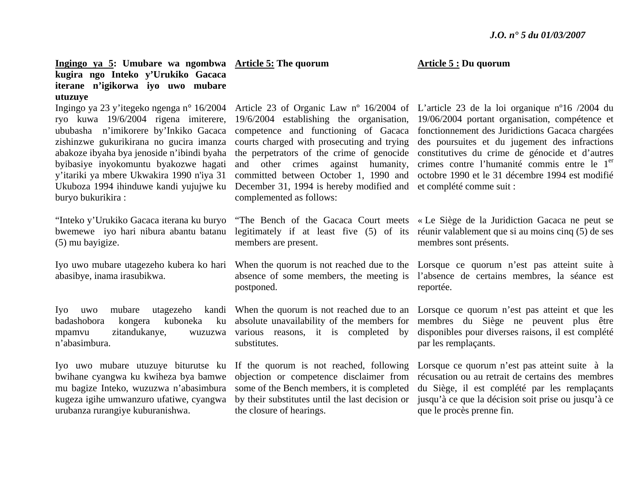#### **Ingingo ya 5: Umubare wa ngombwa Article 5: The quorum kugira ngo Inteko y'Urukiko Gacaca iterane n'igikorwa iyo uwo mubare utuzuye**

Ingingo ya 23 y'itegeko ngenga n° 16/2004 ububasha n'imikorere by'Inkiko Gacaca competence and functioning of Gacaca zishinzwe gukurikirana no gucira imanza courts charged with prosecuting and trying abakoze ibyaha bya jenoside n'ibindi byaha byibasiye inyokomuntu byakozwe hagati y'itariki ya mbere Ukwakira 1990 n'iya 31 Ukuboza 1994 ihinduwe kandi yujujwe ku December 31, 1994 is hereby modified and et complété comme suit : buryo bukurikira :

"Inteko y'Urukiko Gacaca iterana ku buryo (5) mu bayigize.

abasibye, inama irasubikwa.

Iyo uwo mubare utagezeho badashobora kongera kuboneka mpamvu zitandukanye, n'abasimbura.

kugeza igihe umwanzuro ufatiwe, cyangwa urubanza rurangiye kuburanishwa.

and other crimes against humanity, committed between October 1, 1990 and complemented as follows:

members are present.

postponed.

absolute unavailability of the members for wuzuzwa various reasons, it is completed by substitutes.

Iyo uwo mubare utuzuye biturutse ku If the quorum is not reached, following bwihane cyangwa ku kwiheza bya bamwe objection or competence disclaimer from mu bagize Inteko, wuzuzwa n'abasimbura some of the Bench members, it is completed by their substitutes until the last decision or the closure of hearings.

#### **Article 5 : Du quorum**

ryo kuwa 19/6/2004 rigena imiterere, 19/6/2004 establishing the organisation, 19/06/2004 portant organisation, compétence et Article 23 of Organic Law nº 16/2004 of L'article 23 de la loi organique nº16 /2004 du the perpetrators of the crime of genocide constitutives du crime de génocide et d'autres fonctionnement des Juridictions Gacaca chargées des poursuites et du jugement des infractions crimes contre l'humanité commis entre le 1<sup>er</sup> octobre 1990 et le 31 décembre 1994 est modifié

bwemewe iyo hari nibura abantu batanu legitimately if at least five (5) of its réunir valablement que si au moins cinq (5) de ses "The Bench of the Gacaca Court meets « Le Siège de la Juridiction Gacaca ne peut se membres sont présents.

Iyo uwo mubare utagezeho kubera ko hari When the quorum is not reached due to the Lorsque ce quorum n'est pas atteint suite à absence of some members, the meeting is l'absence de certains membres, la séance est reportée.

> When the quorum is not reached due to an Lorsque ce quorum n'est pas atteint et que les membres du Siège ne peuvent plus être disponibles pour diverses raisons, il est complété par les remplaçants.

> > Lorsque ce quorum n'est pas atteint suite à la récusation ou au retrait de certains des membres du Siège, il est complété par les remplaçants jusqu'à ce que la décision soit prise ou jusqu'à ce que le procès prenne fin.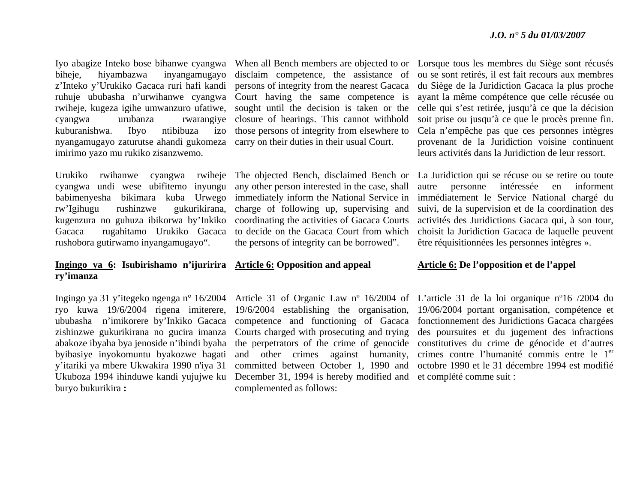biheje, hiyambazwa inyangamugayo disclaim competence, the assistance of ruhuje ububasha n'urwihanwe cyangwa Court having the same competence is rwiheje, kugeza igihe umwanzuro ufatiwe, sought until the decision is taken or the kuburanishwa. Ibyo ntibibuza nyangamugayo zaturutse ahandi gukomeza carry on their duties in their usual Court. imirimo yazo mu rukiko zisanzwemo.

Urukiko rwihanwe cyangwa cyangwa undi wese ubifitemo inyungu rw'Igihugu rushinzwe gukurikirana, kugenzura no guhuza ibikorwa by'Inkiko rushobora gutirwamo inyangamugayo".

#### **Ingingo ya 6: Isubirishamo n'ijuririra Article 6: Opposition and appeal ry'imanza**

ryo kuwa 19/6/2004 rigena imiterere, ububasha n'imikorere by'Inkiko Gacaca zishinzwe gukurikirana no gucira imanza abakoze ibyaha bya jenoside n'ibindi byaha byibasiye inyokomuntu byakozwe hagati y'itariki ya mbere Ukwakira 1990 n'iya 31 buryo bukurikira **:** 

<sup>z</sup>'Inteko y'Urukiko Gacaca ruri hafi kandi persons of integrity from the nearest Gacaca cyangwa urubanza rwarangiye closure of hearings. This cannot withhold izo those persons of integrity from elsewhere to

babimenyesha bikimara kuba Urwego immediately inform the National Service in Gacaca rugahitamo Urukiko Gacaca to decide on the Gacaca Court from which The objected Bench, disclaimed Bench or any other person interested in the case, shall charge of following up, supervising and coordinating the activities of Gacaca Courts the persons of integrity can be borrowed".

Ukuboza 1994 ihinduwe kandi yujujwe ku December 31, 1994 is hereby modified and et complété comme suit : 19/6/2004 establishing the organisation, competence and functioning of Gacaca Courts charged with prosecuting and trying the perpetrators of the crime of genocide and other crimes against humanity, committed between October 1, 1990 and complemented as follows:

Iyo abagize Inteko bose bihanwe cyangwa When all Bench members are objected to or Lorsque tous les membres du Siège sont récusés ou se sont retirés, il est fait recours aux membres du Siège de la Juridiction Gacaca la plus proche ayant la même compétence que celle récusée ou celle qui s'est retirée, jusqu'à ce que la décision soit prise ou jusqu'à ce que le procès prenne fin. Cela n'empêche pas que ces personnes intègres provenant de la Juridiction voisine continuent leurs activités dans la Juridiction de leur ressort.

> La Juridiction qui se récuse ou se retire ou toute autre personne intéressée en informent immédiatement le Service National chargé du suivi, de la supervision et de la coordination des activités des Juridictions Gacaca qui, à son tour, choisit la Juridiction Gacaca de laquelle peuvent être réquisitionnées les personnes intègres ».

#### **Article 6: De l'opposition et de l'appel**

Ingingo ya 31 y'itegeko ngenga n° 16/2004 Article 31 of Organic Law nº 16/2004 of L'article 31 de la loi organique nº16 /2004 du 19/06/2004 portant organisation, compétence et fonctionnement des Juridictions Gacaca chargées des poursuites et du jugement des infractions constitutives du crime de génocide et d'autres crimes contre l'humanité commis entre le 1<sup>er</sup> octobre 1990 et le 31 décembre 1994 est modifié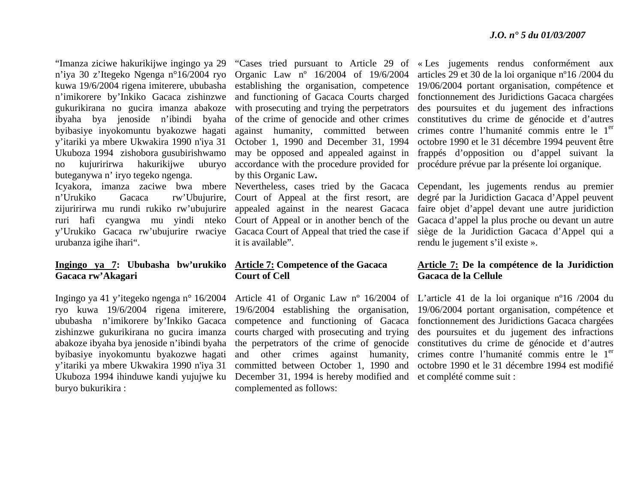<sup>n</sup>'iya 30 z'Itegeko Ngenga n°16/2004 ryo Organic Law nº 16/2004 of 19/6/2004 kuwa 19/6/2004 rigena imiterere, ububasha establishing the organisation, competence <sup>n</sup>'imikorere by'Inkiko Gacaca zishinzwe and functioning of Gacaca Courts charged gukurikirana no gucira imanza abakoze with prosecuting and trying the perpetrators ibyaha bya jenoside n'ibindi byaha of the crime of genocide and other crimes byibasiye inyokomuntu byakozwe hagati against humanity, committed between y'itariki ya mbere Ukwakira 1990 n'iya 31 October 1, 1990 and December 31, 1994 Ukuboza 1994 zishobora gusubirishwamo may be opposed and appealed against in no kujuririrwa hakurikijwe uburyo accordance with the procedure provided for buteganywa n' iryo tegeko ngenga. urubanza igihe ihari".

#### **Ingingo ya 7: Ububasha bw'urukiko Article 7: Competence of the Gacaca Gacaca rw'Akagari**

byibasiye inyokomuntu byakozwe hagati y'itariki ya mbere Ukwakira 1990 n'iya 31 buryo bukurikira :

by this Organic Law**.** 

Icyakora, imanza zaciwe bwa mbere Nevertheless, cases tried by the Gacaca <sup>n</sup>'Urukiko Gacaca rw'Ubujurire, Court of Appeal at the first resort, are zijuririrwa mu rundi rukiko rw'ubujurire appealed against in the nearest Gacaca ruri hafi cyangwa mu yindi nteko Court of Appeal or in another bench of the y'Urukiko Gacaca rw'ubujurire rwaciye Gacaca Court of Appeal that tried the case if it is available".

### **Court of Cell**

ryo kuwa 19/6/2004 rigena imiterere, 19/6/2004 establishing the organisation, ububasha n'imikorere by'Inkiko Gacaca competence and functioning of Gacaca zishinzwe gukurikirana no gucira imanza courts charged with prosecuting and trying abakoze ibyaha bya jenoside n'ibindi byaha the perpetrators of the crime of genocide Ukuboza 1994 ihinduwe kandi yujujwe ku December 31, 1994 is hereby modified and et complété comme suit : and other crimes against humanity, committed between October 1, 1990 and complemented as follows:

"Imanza ziciwe hakurikijwe ingingo ya 29 "Cases tried pursuant to Article 29 of « Les jugements rendus conformément aux articles 29 et 30 de la loi organique nº16 /2004 du 19/06/2004 portant organisation, compétence et fonctionnement des Juridictions Gacaca chargées des poursuites et du jugement des infractions constitutives du crime de génocide et d'autres crimes contre l'humanité commis entre le 1<sup>er</sup> octobre 1990 et le 31 décembre 1994 peuvent être frappés d'opposition ou d'appel suivant la procédure prévue par la présente loi organique.

> Cependant, les jugements rendus au premier degré par la Juridiction Gacaca d'Appel peuvent faire objet d'appel devant une autre juridiction Gacaca d'appel la plus proche ou devant un autre siège de la Juridiction Gacaca d'Appel qui a rendu le jugement s'il existe ».

#### **Article 7: De la compétence de la Juridiction Gacaca de la Cellule**

Ingingo ya 41 y'itegeko ngenga n° 16/2004 Article 41 of Organic Law nº 16/2004 of L'article 41 de la loi organique nº16 /2004 du 19/06/2004 portant organisation, compétence et fonctionnement des Juridictions Gacaca chargées des poursuites et du jugement des infractions constitutives du crime de génocide et d'autres crimes contre l'humanité commis entre le 1<sup>er</sup> octobre 1990 et le 31 décembre 1994 est modifié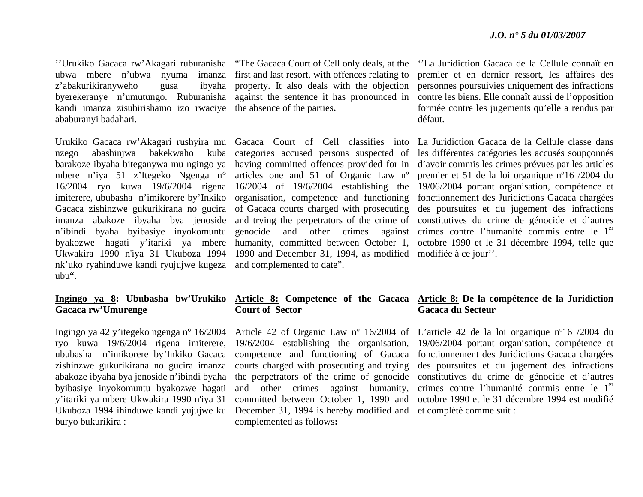''Urukiko Gacaca rw'Akagari ruburanisha "The Gacaca Court of Cell only deals, at the z'abakurikiranyweho gusa kandi imanza zisubirishamo izo rwaciye the absence of the parties**.**  ababuranyi badahari.

nk'uko ryahinduwe kandi ryujujwe kugeza and complemented to date". ubu".

### **Gacaca rw'Umurenge**

Ingingo ya 42 y'itegeko ngenga n° 16/2004 ryo kuwa 19/6/2004 rigena imiterere, zishinzwe gukurikirana no gucira imanza byibasiye inyokomuntu byakozwe hagati y'itariki ya mbere Ukwakira 1990 n'iya 31 buryo bukurikira :

ubwa mbere n'ubwa nyuma imanza first and last resort, with offences relating to byerekeranye n'umutungo. Ruburanisha against the sentence it has pronounced in property. It also deals with the objection

mbere n'iya 51 z'Itegeko Ngenga n° articles one and 51 of Organic Law nº Ukwakira 1990 n'iya 31 Ukuboza 1994 1990 and December 31, 1994, as modified modifiée à ce jour''.

#### ''La Juridiction Gacaca de la Cellule connaît en premier et en dernier ressort, les affaires des personnes poursuivies uniquement des infractions contre les biens. Elle connaît aussi de l'opposition formée contre les jugements qu'elle a rendus par défaut.

Urukiko Gacaca rw'Akagari rushyira mu Gacaca Court of Cell classifies into La Juridiction Gacaca de la Cellule classe dans nzego abashinjwa bakekwaho kuba categories accused persons suspected of les différentes catégories les accusés soupçonnés barakoze ibyaha biteganywa mu ngingo ya having committed offences provided for in d'avoir commis les crimes prévues par les articles 16/2004 ryo kuwa 19/6/2004 rigena 16/2004 of 19/6/2004 establishing the 19/06/2004 portant organisation, compétence et imiterere, ububasha n'imikorere by'Inkiko organisation, competence and functioning fonctionnement des Juridictions Gacaca chargées Gacaca zishinzwe gukurikirana no gucira of Gacaca courts charged with prosecuting des poursuites et du jugement des infractions imanza abakoze ibyaha bya jenoside and trying the perpetrators of the crime of constitutives du crime de génocide et d'autres n'ibindi byaha byibasiye inyokomuntu genocide and other crimes against crimes contre l'humanité commis entre le 1<sup>er</sup> byakozwe hagati y'itariki ya mbere humanity, committed between October 1, octobre 1990 et le 31 décembre 1994, telle que premier et 51 de la loi organique nº16 /2004 du

### **Court of Sector**

ububasha n'imikorere by'Inkiko Gacaca competence and functioning of Gacaca Ukuboza 1994 ihinduwe kandi yujujwe ku December 31, 1994 is hereby modified and et complété comme suit : 19/6/2004 establishing the organisation, courts charged with prosecuting and trying and other crimes against humanity, complemented as follows**:**

#### **Ingingo ya 8: Ububasha bw'Urukiko Article 8: Competence of the Gacaca Article 8: De la compétence de la Juridiction Gacaca du Secteur**

abakoze ibyaha bya jenoside n'ibindi byaha the perpetrators of the crime of genocide constitutives du crime de génocide et d'autres Article 42 of Organic Law nº 16/2004 of L'article 42 de la loi organique nº16 /2004 du committed between October 1, 1990 and octobre 1990 et le 31 décembre 1994 est modifié 19/06/2004 portant organisation, compétence et fonctionnement des Juridictions Gacaca chargées des poursuites et du jugement des infractions crimes contre l'humanité commis entre le 1<sup>er</sup>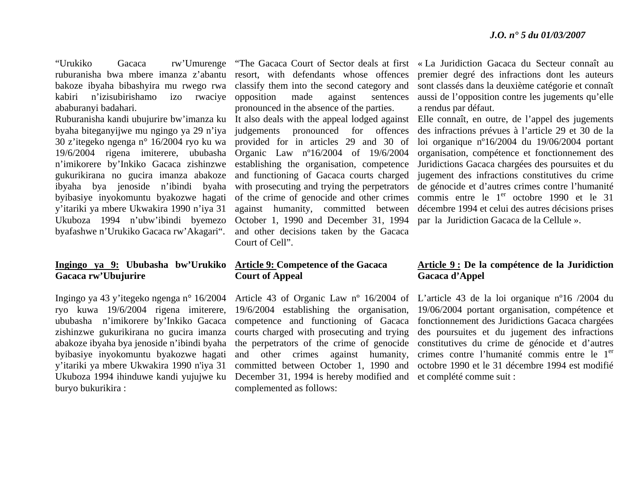kabiri n'izisubirishamo ababuranyi badahari.

<sup>n</sup>'imikorere by'Inkiko Gacaca zishinzwe gukurikirana no gucira imanza abakoze ibyaha bya jenoside n'ibindi byaha byibasiye inyokomuntu byakozwe hagati y'itariki ya mbere Ukwakira 1990 n'iya 31 Ukuboza 1994 n'ubw'ibindi byemezo byafashwe n'Urukiko Gacaca rw'Akagari".

#### **Ingingo ya 9: Ububasha bw'Urukiko Article 9: Competence of the Gacaca Gacaca rw'Ubujurire**

ryo kuwa 19/6/2004 rigena imiterere, ububasha n'imikorere by'Inkiko Gacaca zishinzwe gukurikirana no gucira imanza abakoze ibyaha bya jenoside n'ibindi byaha byibasiye inyokomuntu byakozwe hagati y'itariki ya mbere Ukwakira 1990 n'iya 31 buryo bukurikira :

ruburanisha bwa mbere imanza z'abantu resort, with defendants whose offences bakoze ibyaha bibashyira mu rwego rwa classify them into the second category and izo rwaciye opposition made against sentences pronounced in the absence of the parties.

Ruburanisha kandi ubujurire bw'imanza ku It also deals with the appeal lodged against byaha biteganyijwe mu ngingo ya 29 n'iya judgements pronounced for offences 30 z'itegeko ngenga n° 16/2004 ryo ku wa provided for in articles 29 and 30 of 19/6/2004 rigena imiterere, ububasha Organic Law nº16/2004 of 19/6/2004 establishing the organisation, competence and functioning of Gacaca courts charged with prosecuting and trying the perpetrators of the crime of genocide and other crimes against humanity, committed between October 1, 1990 and December 31, 1994 and other decisions taken by the Gacaca Court of Cell".

### **Court of Appeal**

Ukuboza 1994 ihinduwe kandi yujujwe ku December 31, 1994 is hereby modified and et complété comme suit : 19/6/2004 establishing the organisation, competence and functioning of Gacaca courts charged with prosecuting and trying the perpetrators of the crime of genocide and other crimes against humanity, committed between October 1, 1990 and complemented as follows:

"Urukiko Gacaca rw'Umurenge "The Gacaca Court of Sector deals at first « La Juridiction Gacaca du Secteur connaît au premier degré des infractions dont les auteurs sont classés dans la deuxième catégorie et connaît aussi de l'opposition contre les jugements qu'elle a rendus par défaut.

Elle connaît, en outre, de l'appel des jugements des infractions prévues à l'article 29 et 30 de la loi organique nº16/2004 du 19/06/2004 portant organisation, compétence et fonctionnement des Juridictions Gacaca chargées des poursuites et du jugement des infractions constitutives du crime de génocide et d'autres crimes contre l'humanité commis entre le  $1<sup>er</sup>$  octobre 1990 et le 31 décembre 1994 et celui des autres décisions prises par la Juridiction Gacaca de la Cellule ».

#### **Article 9 : De la compétence de la Juridiction Gacaca d'Appel**

Ingingo ya 43 y'itegeko ngenga n° 16/2004 Article 43 of Organic Law nº 16/2004 of L'article 43 de la loi organique nº16 /2004 du 19/06/2004 portant organisation, compétence et fonctionnement des Juridictions Gacaca chargées des poursuites et du jugement des infractions constitutives du crime de génocide et d'autres crimes contre l'humanité commis entre le 1<sup>er</sup> octobre 1990 et le 31 décembre 1994 est modifié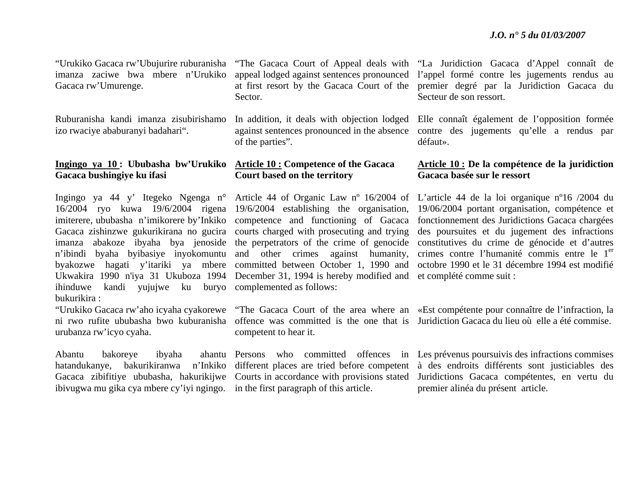Gacaca rw'Umurenge.

Ruburanisha kandi imanza zisubirishamo izo rwaciye ababuranyi badahari".

#### **Ingingo ya 10 : Ububasha bw'Urukiko Article 10 : Competence of the Gacaca Gacaca bushingiye ku ifasi**

Ingingo ya 44 y' Itegeko Ngenga n° Article 44 of Organic Law nº 16/2004 of imiterere, ububasha n'imikorere by'Inkiko competence and functioning of Gacaca imanza abakoze ibyaha bya jenoside the perpetrators of the crime of genocide <sup>n</sup>'ibindi byaha byibasiye inyokomuntu and other crimes against humanity, byakozwe hagati y'itariki ya mbere committed between October 1, 1990 and ihinduwe kandi yujujwe ku buryo complemented as follows: bukurikira :

urubanza rw'icyo cyaha.

Abantu bakoreye ibyaha hatandukanye, bakurikiranwa ibivugwa mu gika cya mbere cy'iyi ngingo. in the first paragraph of this article.

Sector.

against sentences pronounced in the absence of the parties".

## **Court based on the territory**

16/2004 ryo kuwa 19/6/2004 rigena 19/6/2004 establishing the organisation, Gacaca zishinzwe gukurikirana no gucira courts charged with prosecuting and trying Ukwakira 1990 n'iya 31 Ukuboza 1994 December 31, 1994 is hereby modified and et complété comme suit :

competent to hear it.

"Urukiko Gacaca rw'Ubujurire ruburanisha "The Gacaca Court of Appeal deals with "La Juridiction Gacaca d'Appel connaît de imanza zaciwe bwa mbere n'Urukiko appeal lodged against sentences pronounced l'appel formé contre les jugements rendus au at first resort by the Gacaca Court of the premier degré par la Juridiction Gacaca du Secteur de son ressort.

> In addition, it deals with objection lodged Elle connaît également de l'opposition formée contre des jugements qu'elle a rendus par défaut».

#### **Article 10 : De la compétence de la juridiction Gacaca basée sur le ressort**

L'article 44 de la loi organique nº16 /2004 du 19/06/2004 portant organisation, compétence et fonctionnement des Juridictions Gacaca chargées des poursuites et du jugement des infractions constitutives du crime de génocide et d'autres crimes contre l'humanité commis entre le 1<sup>er</sup> octobre 1990 et le 31 décembre 1994 est modifié

"Urukiko Gacaca rw'aho icyaha cyakorewe "The Gacaca Court of the area where an «Est compétente pour connaître de l'infraction, la ni rwo rufite ububasha bwo kuburanisha offence was committed is the one that is Juridiction Gacaca du lieu où elle a été commise.

Gacaca zibifitiye ububasha, hakurikijwe Courts in accordance with provisions stated Juridictions Gacaca compétentes, en vertu du Persons who committed offences in Les prévenus poursuivis des infractions commises different places are tried before competent à des endroits différents sont justiciables des premier alinéa du présent article.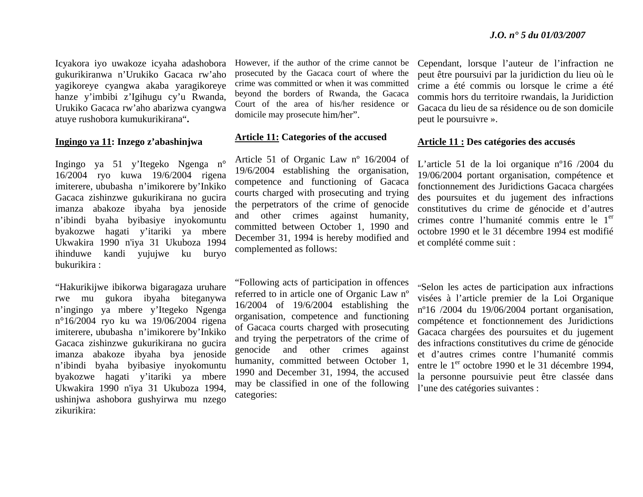Icyakora iyo uwakoze icyaha adashobora gukurikiranwa n'Urukiko Gacaca rw'aho yagikoreye cyangwa akaba yaragikoreye hanze y'imbibi z'Igihugu cy'u Rwanda, Urukiko Gacaca rw'aho abarizwa cyangwa atuye rushobora kumukurikirana"**.** 

#### **Ingingo ya 11: Inzego z'abashinjwa**

Ingingo ya 51 y'Itegeko Ngenga n° 16/2004 ryo kuwa 19/6/2004 rigena imiterere, ububasha n'imikorere by'Inkiko Gacaca zishinzwe gukurikirana no gucira imanza abakoze ibyaha bya jenoside <sup>n</sup>'ibindi byaha byibasiye inyokomuntu byakozwe hagati y'itariki ya mbere Ukwakira 1990 n'iya 31 Ukuboza 1994 ihinduwe kandi yujujwe ku buryo bukurikira :

"Hakurikijwe ibikorwa bigaragaza uruhare rwe mu gukora ibyaha biteganywa <sup>n</sup>'ingingo ya mbere y'Itegeko Ngenga <sup>n</sup>°16/2004 ryo ku wa 19/06/2004 rigena imiterere, ububasha n'imikorere by'Inkiko Gacaca zishinzwe gukurikirana no gucira imanza abakoze ibyaha bya jenoside <sup>n</sup>'ibindi byaha byibasiye inyokomuntu byakozwe hagati y'itariki ya mbere Ukwakira 1990 n'iya 31 Ukuboza 1994, ushinjwa ashobora gushyirwa mu nzego zikurikira:

However, if the author of the crime cannot be prosecuted by the Gacaca court of where the crime was committed or when it was committed beyond the borders of Rwanda, the Gacaca Court of the area of his/her residence or domicile may prosecute him/her".

### **Article 11: Categories of the accused**

Article 51 of Organic Law nº 16/2004 of 19/6/2004 establishing the organisation, competence and functioning of Gacaca courts charged with prosecuting and trying the perpetrators of the crime of genocide and other crimes against humanity, committed between October 1, 1990 and December 31, 1994 is hereby modified and complemented as follows:

"Following acts of participation in offences referred to in article one of Organic Law nº 16/2004 of 19/6/2004 establishing the organisation, competence and functioning of Gacaca courts charged with prosecuting and trying the perpetrators of the crime of genocide and other crimes against humanity, committed between October 1, 1990 and December 31, 1994, the accused may be classified in one of the following categories:

Cependant, lorsque l'auteur de l'infraction ne peut être poursuivi par la juridiction du lieu où le crime a été commis ou lorsque le crime a été commis hors du territoire rwandais, la Juridiction Gacaca du lieu de sa résidence ou de son domicile peut le poursuivre ».

#### **Article 11 : Des catégories des accusés**

L'article 51 de la loi organique nº16 /2004 du 19/06/2004 portant organisation, compétence et fonctionnement des Juridictions Gacaca chargées des poursuites et du jugement des infractions constitutives du crime de génocide et d'autres crimes contre l'humanité commis entre le 1<sup>er</sup> octobre 1990 et le 31 décembre 1994 est modifié et complété comme suit :

"Selon les actes de participation aux infractions visées à l'article premier de la Loi Organique <sup>n</sup>º16 /2004 du 19/06/2004 portant organisation, compétence et fonctionnement des Juridictions Gacaca chargées des poursuites et du jugement des infractions constitutives du crime de génocide et d'autres crimes contre l'humanité commis entre le 1<sup>er</sup> octobre 1990 et le 31 décembre 1994, la personne poursuivie peut être classée dans l'une des catégories suivantes :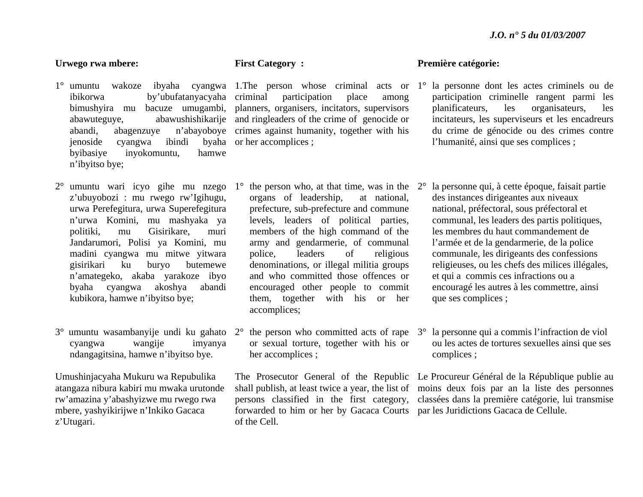#### **Urwego rwa mbere:**

- ibikorwa by'ubufatanyacyaha jenoside cyangwa ibindi byibasiye inyokomuntu, hamwe <sup>n</sup>'ibyitso bye;
- 2° umuntu wari icyo gihe mu nzego 1°<sup>z</sup>'ubuyobozi : mu rwego rw'Igihugu, urwa Perefegitura, urwa Superefegitura <sup>n</sup>'urwa Komini, mu mashyaka ya politiki, mu Gisirikare, muri Jandarumori, Polisi ya Komini, mu madini cyangwa mu mitwe yitwara gisirikari ku buryo butemewe <sup>n</sup>'amategeko, akaba yarakoze ibyo byaha cyangwa akoshya abandi kubikora, hamwe n'ibyitso bye;
- cyangwa wangije imyanya ndangagitsina, hamwe n'ibyitso bye.

Umushinjacyaha Mukuru wa Repubulika atangaza nibura kabiri mu mwaka urutonde rw'amazina y'abashyizwe mu rwego rwa mbere, yashyikirijwe n'Inkiko Gacaca <sup>z</sup>'Utugari.

### **First Category :**

bimushyira mu bacuze umugambi, planners, organisers, incitators, supervisors abawuteguye, abawushishikarije and ringleaders of the crime of genocide or abandi, abagenzuye n'abayoboye crimes against humanity, together with his participation place among by a her accomplices;

- $\degree$  the person who, at that time, was in the  $2\degree$ organs of leadership, at national, prefecture, sub-prefecture and commune levels, leaders of political parties, members of the high command of the army and gendarmerie, of communal police, leaders of religious denominations, or illegal militia groups and who committed those offences or encouraged other people to commit them, together with his or her accomplices;
- 3° umuntu wasambanyije undi ku gahato 2° the person who committed acts of rape 3°or sexual torture, together with his or her accomplices ;

forwarded to him or her by Gacaca Courts par les Juridictions Gacaca de Cellule. of the Cell.

#### **Première catégorie:**

- 1° umuntu wakoze ibyaha cyangwa 1.The person whose criminal acts or 1° la personne dont les actes criminels ou de participation criminelle rangent parmi les planificateurs, les organisateurs, les incitateurs, les superviseurs et les encadreurs du crime de génocide ou des crimes contre l'humanité, ainsi que ses complices ;
	- la personne qui, à cette époque, faisait partie des instances dirigeantes aux niveaux national, préfectoral, sous préfectoral et communal, les leaders des partis politiques, les membres du haut commandement de l'armée et de la gendarmerie, de la police communale, les dirigeants des confessions religieuses, ou les chefs des milices illégales, et qui a commis ces infractions ou a encouragé les autres à les commettre, ainsi que ses complices ;
	- la personne qui a commis l'infraction de viol ou les actes de tortures sexuelles ainsi que ses complices ;

The Prosecutor General of the Republic Le Procureur Général de la République publie au shall publish, at least twice a year, the list of moins deux fois par an la liste des personnes persons classified in the first category, classées dans la première catégorie, lui transmise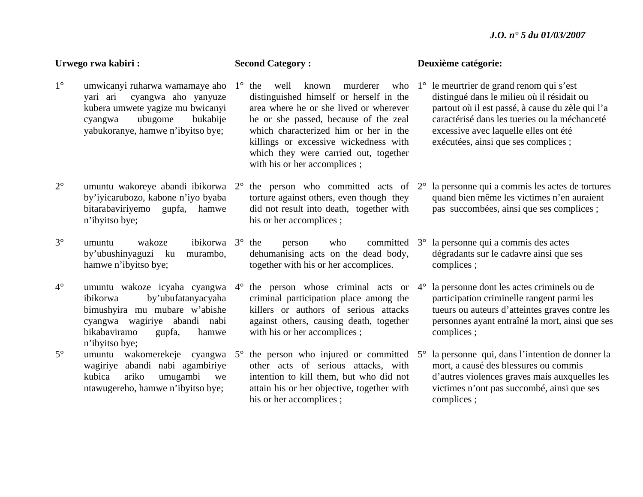#### **Urwego rwa kabiri :**  1° umwicanyi ruharwa wamamaye aho 1° the well known murderer who yari ari cyangwa aho yanyuze kubera umwete yagize mu bwicanyi cyangwa ubugome bukabije yabukoranye, hamwe n'ibyitso bye; 2° umuntu wakoreye abandi ibikorwa 2°by'iyicarubozo, kabone n'iyo byaba bitarabaviriyemo gupfa, hamwe <sup>n</sup>'ibyitso bye; 3° umuntu wakoze ibikorwa 3°by'ubushinyaguzi ku murambo, hamwe n'ibyitso bye; 4° umuntu wakoze icyaha cyangwa 4°ibikorwa by'ubufatanyacyaha bimushyira mu mubare w'abishe cyangwa wagiriye abandi nabi bikabaviramo gupfa, hamwe <sup>n</sup>'ibyitso bye; 5° umuntu wakomerekeje cyangwa 5°wagiriye abandi nabi agambiriye kubica ariko umugambi we ntawugereho, hamwe n'ibyitso bye; **Second Category :**  distinguished himself or herself in the area where he or she lived or wherever he or she passed, because of the zeal which characterized him or her in the killings or excessive wickedness with which they were carried out, together with his or her accomplices ;  $\degree$  the person who committed acts of 2 $\degree$ torture against others, even though they did not result into death, together with his or her accomplices ; <sup>o</sup> the person who committed 3<sup>o</sup> la personne qui a commis des actes dehumanising acts on the dead body, together with his or her accomplices.  $\degree$  the person whose criminal acts or  $4\degree$ criminal participation place among the killers or authors of serious attacks against others, causing death, together with his or her accomplices ;  $\degree$  the person who injured or committed  $5\degree$ other acts of serious attacks, with intention to kill them, but who did not attain his or her objective, together with his or her accomplices ; **Deuxième catégorie:**  1° le meurtrier de grand renom qui s'est distingué dans le milieu où il résidait ou partout où il est passé, à cause du zèle qui l'a caractérisé dans les tueries ou la méchanceté excessive avec laquelle elles ont été exécutées, ainsi que ses complices ; la personne qui a commis les actes de tortures quand bien même les victimes n'en auraient pas succombées, ainsi que ses complices ; dégradants sur le cadavre ainsi que ses complices ; la personne dont les actes criminels ou de participation criminelle rangent parmi les tueurs ou auteurs d'atteintes graves contre les personnes ayant entraîné la mort, ainsi que ses complices ; la personne qui, dans l'intention de donner la mort, a causé des blessures ou commis d'autres violences graves mais auxquelles les victimes n'ont pas succombé, ainsi que ses complices ;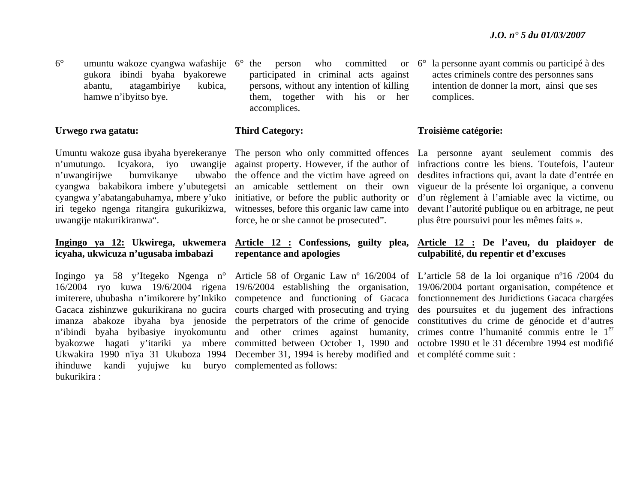6° umuntu wakoze cyangwa wafashije 6°gukora ibindi byaha byakorewe abantu, atagambiriye kubica, hamwe n'ibyitso bye.

#### **Urwego rwa gatatu:**

<sup>n</sup>'umutungo. Icyakora, iyo uwangije n'uwangirijwe bumvikanye cyangwa bakabikora imbere y'ubutegetsi cyangwa y'abatangabuhamya, mbere y'uko initiative, or before the public authority or iri tegeko ngenga ritangira gukurikizwa, uwangije ntakurikiranwa".

## **icyaha, ukwicuza n'ugusaba imbabazi**

ihinduwe kandi yujujwe ku buryo complemented as follows: bukurikira :

participated in criminal acts against persons, without any intention of killing them, together with his or her accomplices.

### **Third Category:**

against property. However, if the author of ubwabo the offence and the victim have agreed on an amicable settlement on their own witnesses, before this organic law came into force, he or she cannot be prosecuted".

#### **Ingingo ya 12: Ukwirega, ukwemera Article 12 : Confessions, guilty plea, repentance and apologies**

16/2004 ryo kuwa 19/6/2004 rigena 19/6/2004 establishing the organisation, imiterere, ububasha n'imikorere by'Inkiko competence and functioning of Gacaca Gacaca zishinzwe gukurikirana no gucira courts charged with prosecuting and trying <sup>n</sup>'ibindi byaha byibasiye inyokomuntu and other crimes against humanity, Ukwakira 1990 n'iya 31 Ukuboza 1994 December 31, 1994 is hereby modified and et complété comme suit :

 $\degree$  the person who committed or  $6\degree$  la personne ayant commis ou participé à des actes criminels contre des personnes sans intention de donner la mort, ainsi que ses complices.

#### **Troisième catégorie:**

Umuntu wakoze gusa ibyaha byerekeranye The person who only committed offences La personne ayant seulement commis des infractions contre les biens. Toutefois, l'auteur desdites infractions qui, avant la date d'entrée en vigueur de la présente loi organique, a convenu d'un règlement à l'amiable avec la victime, ou devant l'autorité publique ou en arbitrage, ne peut plus être poursuivi pour les mêmes faits ».

### **Article 12 : De l'aveu, du plaidoyer de culpabilité, du repentir et d'excuses**

Ingingo ya 58 y'Itegeko Ngenga n° Article 58 of Organic Law nº 16/2004 of L'article 58 de la loi organique nº16 /2004 du imanza abakoze ibyaha bya jenoside the perpetrators of the crime of genocide constitutives du crime de génocide et d'autres byakozwe hagati y'itariki ya mbere committed between October 1, 1990 and octobre 1990 et le 31 décembre 1994 est modifié 19/06/2004 portant organisation, compétence et fonctionnement des Juridictions Gacaca chargées des poursuites et du jugement des infractions crimes contre l'humanité commis entre le 1<sup>er</sup>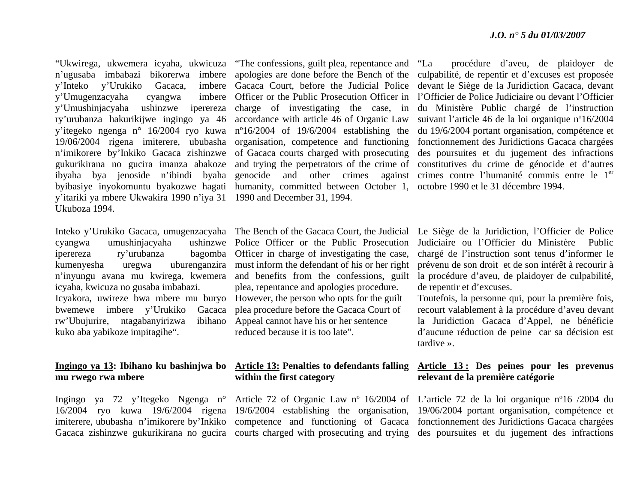"Ukwirega, ukwemera icyaha, ukwicuza "The confessions, guilt plea, repentance and y'Umugenzacyaha cyangwa y'itariki ya mbere Ukwakira 1990 n'iya 31 1990 and December 31, 1994. Ukuboza 1994.

cyangwa umushinjacyaha iperereza ry'urubanza icyaha, kwicuza no gusaba imbabazi. Icyakora, uwireze bwa mbere mu buryo However, the person who opts for the guilt bwemewe imbere y'Urukiko rw'Ubujurire, ntagabanyirizwa kuko aba yabikoze impitagihe".

### **mu rwego rwa mbere**

<sup>n</sup>'ugusaba imbabazi bikorerwa imbere apologies are done before the Bench of the y'Inteko y'Urukiko Gacaca, imbere Gacaca Court, before the Judicial Police y'Umushinjacyaha ushinzwe iperereza charge of investigating the case, in ry'urubanza hakurikijwe ingingo ya 46 accordance with article 46 of Organic Law y'itegeko ngenga n° 16/2004 ryo kuwa <sup>n</sup>º16/2004 of 19/6/2004 establishing the 19/06/2004 rigena imiterere, ububasha organisation, competence and functioning <sup>n</sup>'imikorere by'Inkiko Gacaca zishinzwe of Gacaca courts charged with prosecuting gukurikirana no gucira imanza abakoze and trying the perpetrators of the crime of ibyaha bya jenoside n'ibindi byaha genocide and other crimes against byibasiye inyokomuntu byakozwe hagati humanity, committed between October 1, octobre 1990 et le 31 décembre 1994. Officer or the Public Prosecution Officer in

procédure d'aveu, de plaidoyer de culpabilité, de repentir et d'excuses est proposée devant le Siège de la Juridiction Gacaca, devant l'Officier de Police Judiciaire ou devant l'Officier du Ministère Public chargé de l'instruction suivant l'article 46 de la loi organique nº16/2004 du 19/6/2004 portant organisation, compétence et fonctionnement des Juridictions Gacaca chargées des poursuites et du jugement des infractions constitutives du crime de génocide et d'autres against crimes contre l'humanité commis entre le 1<sup>er</sup>

kumenyesha uregwa uburenganzira must inform the defendant of his or her right <sup>n</sup>'inyungu avana mu kwirega, kwemera and benefits from the confessions, guilt ushinzwe Police Officer or the Public Prosecution bagomba Officer in charge of investigating the case, plea, repentance and apologies procedure. plea procedure before the Gacaca Court of Appeal cannot have his or her sentence reduced because it is too late".

## **within the first category**

Inteko y'Urukiko Gacaca, umugenzacyaha The Bench of the Gacaca Court, the Judicial Le Siège de la Juridiction, l'Officier de Police Judiciaire ou l'Officier du Ministère Public chargé de l'instruction sont tenus d'informer le prévenu de son droit et de son intérêt à recourir à la procédure d'aveu, de plaidoyer de culpabilité, de repentir et d'excuses.

> Toutefois, la personne qui, pour la première fois, recourt valablement à la procédure d'aveu devant la Juridiction Gacaca d'Appel, ne bénéficie d'aucune réduction de peine car sa décision est tardive ».

#### **Ingingo ya 13: Ibihano ku bashinjwa bo Article 13: Penalties to defendants falling Article 13 : Des peines pour les prevenus relevant de la première catégorie**

Ingingo ya 72 y'Itegeko Ngenga n° Article 72 of Organic Law nº 16/2004 of L'article 72 de la loi organique nº16 /2004 du 16/2004 ryo kuwa 19/6/2004 rigena 19/6/2004 establishing the organisation, 19/06/2004 portant organisation, compétence et imiterere, ububasha n'imikorere by'Inkiko competence and functioning of Gacaca fonctionnement des Juridictions Gacaca chargées Gacaca zishinzwe gukurikirana no gucira courts charged with prosecuting and trying des poursuites et du jugement des infractions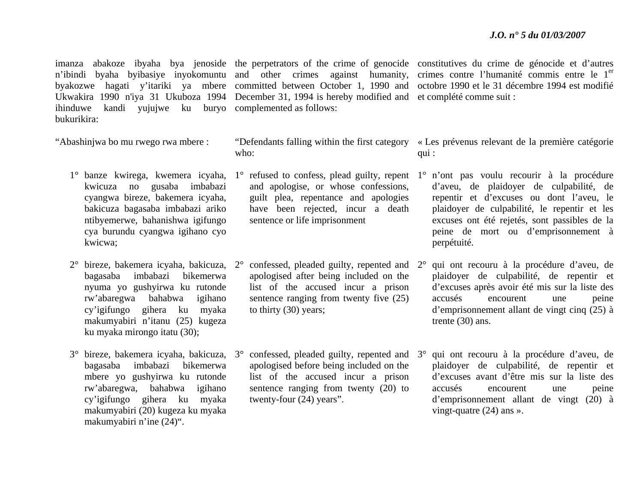Ukwakira 1990 n'iya 31 Ukuboza 1994 December 31, 1994 is hereby modified and et complété comme suit : ihinduwe kandi yujujwe ku buryo complemented as follows: bukurikira:

"Abashinjwa bo mu rwego rwa mbere :

- kwicuza no gusaba imbabazi cyangwa bireze, bakemera icyaha, bakicuza bagasaba imbabazi ariko ntibyemerwe, bahanishwa igifungo cya burundu cyangwa igihano cyo kwicwa;
- bagasaba imbabazi bikemerwa nyuma yo gushyirwa ku rutonde rw'abaregwa bahabwa igihano cy'igifungo gihera ku myaka makumyabiri n'itanu (25) kugeza ku myaka mirongo itatu (30);
- 3° bireze, bakemera icyaha, bakicuza, 3°bagasaba imbabazi bikemerwa mbere yo gushyirwa ku rutonde rw'abaregwa, bahabwa igihano cy'igifungo gihera ku myaka makumyabiri (20) kugeza ku myaka makumyabiri n'ine (24)".

- who:
	- and apologise, or whose confessions, guilt plea, repentance and apologies have been rejected, incur a death sentence or life imprisonment
- 2° bireze, bakemera icyaha, bakicuza, 2° confessed, pleaded guilty, repented and 2°apologised after being included on the list of the accused incur a prison sentence ranging from twenty five (25) to thirty (30) years;
	- $\degree$  confessed, pleaded guilty, repented and  $\degree$ 3 $\degree$ apologised before being included on the list of the accused incur a prison sentence ranging from twenty (20) to twenty-four (24) years".

imanza abakoze ibyaha bya jenoside the perpetrators of the crime of genocide constitutives du crime de génocide et d'autres n'ibindi byaha byibasiye inyokomuntu and other crimes against humanity, crimes contre l'humanité commis entre le 1<sup>er</sup> byakozwe hagati y'itariki ya mbere committed between October 1, 1990 and octobre 1990 et le 31 décembre 1994 est modifié

- "Defendants falling within the first category « Les prévenus relevant de la première catégorie qui :
- 1° banze kwirega, kwemera icyaha, 1° refused-to-confess, plead-guilty, repent 1° n'ont pas voulu recourir à la procédure d'aveu, de plaidoyer de culpabilité, de repentir et d'excuses ou dont l'aveu, le plaidoyer de culpabilité, le repentir et les excuses ont été rejetés, sont passibles de la peine de mort ou d'emprisonnement à perpétuité.
	- qui ont recouru à la procédure d'aveu, de plaidoyer de culpabilité, de repentir et d'excuses après avoir été mis sur la liste des accusés encourent une peine d'emprisonnement allant de vingt cinq (25) à trente (30) ans.
	- qui ont recouru à la procédure d'aveu, de plaidoyer de culpabilité, de repentir et d'excuses avant d'être mis sur la liste des accusés encourent une peine d'emprisonnement allant de vingt (20) à vingt-quatre (24) ans ».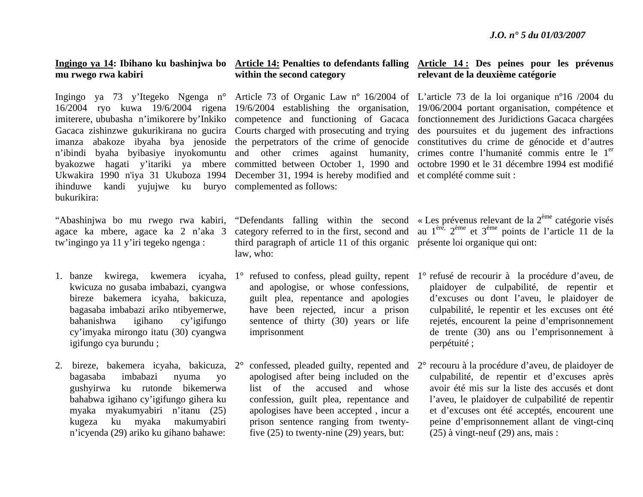## **mu rwego rwa kabiri**

ihinduwe kandi yujujwe ku buryo complemented as follows: bukurikira:

"Abashinjwa bo mu rwego rwa kabiri, agace ka mbere, agace ka 2 n'aka 3 tw'ingingo ya 11 y'iri tegeko ngenga :

- kwicuza no gusaba imbabazi, cyangwa bireze bakemera icyaha, bakicuza, bagasaba imbabazi ariko ntibyemerwe, bahanishwa igihano cy'igifungo cy'imyaka mirongo itatu (30) cyangwa igifungo cya burundu ;
- bagasaba imbabazi nyuma yo gushyirwa ku rutonde bikemerwa bahabwa igihano cy'igifungo gihera ku myaka myakumyabiri n'itanu (25) kugeza ku myaka makumyabiri <sup>n</sup>'icyenda (29) ariko ku gihano bahawe:

## **within the second category**

16/2004 ryo kuwa 19/6/2004 rigena 19/6/2004 establishing the organisation, imiterere, ububasha n'imikorere by'Inkiko competence and functioning of Gacaca Gacaca zishinzwe gukurikirana no gucira Courts charged with prosecuting and trying <sup>n</sup>'ibindi byaha byibasiye inyokomuntu and other crimes against humanity, Ukwakira 1990 n'iya 31 Ukuboza 1994 December 31, 1994 is hereby modified and et complété comme suit :

#### **Ingingo ya 14: Ibihano ku bashinjwa bo Article 14: Penalties to defendants falling Article 14 : Des peines pour les prévenus relevant de la deuxième catégorie**

Ingingo ya 73 y'Itegeko Ngenga n° Article 73 of Organic Law nº 16/2004 of L'article 73 de la loi organique nº16 /2004 du imanza abakoze ibyaha bya jenoside the perpetrators of the crime of genocide constitutives du crime de génocide et d'autres byakozwe hagati y'itariki ya mbere committed between October 1, 1990 and octobre 1990 et le 31 décembre 1994 est modifié 19/06/2004 portant organisation, compétence et fonctionnement des Juridictions Gacaca chargées des poursuites et du jugement des infractions crimes contre l'humanité commis entre le 1<sup>er</sup>

> category referred to in the first, second and third paragraph of article 11 of this organic présente loi organique qui ont: law, who:

- and apologise, or whose confessions, guilt plea, repentance and apologies have been rejected, incur a prison sentence of thirty (30) years or life imprisonment
- apologised after being included on the list of the accused and whose confession, guilt plea, repentance and apologises have been accepted , incur a prison sentence ranging from twentyfive (25) to twenty-nine (29) years, but:

"Defendants falling within the second « Les prévenus relevant de la  $2<sup>eme</sup>$  catégorie visés au 1ère, 2ème et 3ème points de l'article 11 de la

- 1. banze kwirega, kwemera icyaha, 1° refused to confess, plead guilty, repent 1° refusé de recourir à la procédure d'aveu, de plaidoyer de culpabilité, de repentir et d'excuses ou dont l'aveu, le plaidoyer de culpabilité, le repentir et les excuses ont été rejetés, encourent la peine d'emprisonnement de trente (30) ans ou l'emprisonnement à perpétuité ;
- 2. bireze, bakemera icyaha, bakicuza, 2° confessed, pleaded guilty, repented and 2° recouru à la procédure d'aveu, de plaidoyer de culpabilité, de repentir et d'excuses après avoir été mis sur la liste des accusés et dont l'aveu, le plaidoyer de culpabilité de repentir et d'excuses ont été acceptés, encourent une peine d'emprisonnement allant de vingt-cinq (25) à vingt-neuf (29) ans, mais :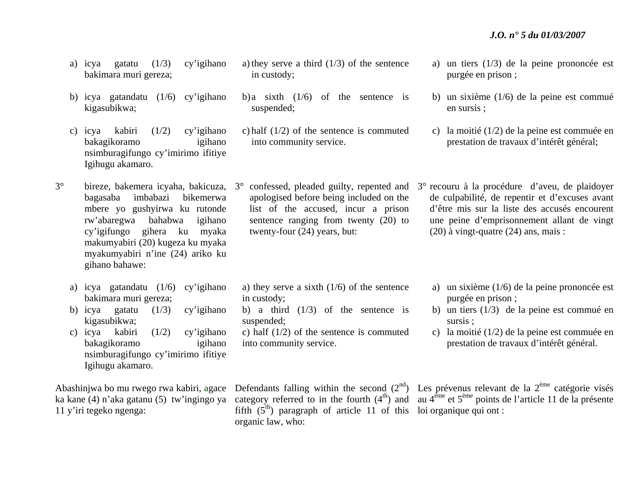- a) icya gatatu (1/3) cy'igihano bakimara muri gereza;
- b) icya gatandatu (1/6) cy'igihano kigasubikwa;
- c) icya kabiri (1/2) cy'igihano bakagikoramo igihano nsimburagifungo cy'imirimo ifitiye Igihugu akamaro.
- 3° bireze, bakemera icyaha, bakicuza, 3°bagasaba imbabazi bikemerwa mbere yo gushyirwa ku rutonde rw'abaregwa bahabwa igihano cy'igifungo gihera ku myaka makumyabiri (20) kugeza ku myaka myakumyabiri n'ine (24) ariko ku gihano bahawe:
	- a) icya gatandatu (1/6) cy'igihano bakimara muri gereza;
	- b) icya gatatu (1/3) cy'igihano kigasubikwa;
	- c) icya kabiri (1/2) cy'igihano bakagikoramo igihano nsimburagifungo cy'imirimo ifitiye Igihugu akamaro.

ka kane (4) n'aka gatanu (5) tw'ingingo ya 11 y'iri tegeko ngenga:

- a) they serve a third  $(1/3)$  of the sentence in custody;
- b) a sixth  $(1/6)$  of the sentence is suspended;
- c) half (1/2) of the sentence is commuted into community service.
- apologised before being included on the list of the accused, incur a prison sentence ranging from twenty (20) to twenty-four (24) years, but:
- a) they serve a sixth  $(1/6)$  of the sentence in custody;
- b) a third  $(1/3)$  of the sentence is suspended;
- c) half (1/2) of the sentence is commuted into community service.

a) un tiers (1/3) de la peine prononcée est purgée en prison ;

- b) un sixième (1/6) de la peine est commué en sursis ;
- c) la moitié (1/2) de la peine est commuée en prestation de travaux d'intérêt général;
- $\degree$  confessed, pleaded guilty, repented and  $\degree$  recouru à la procédure d'aveu, de plaidoyer de culpabilité, de repentir et d'excuses avant d'être mis sur la liste des accusés encourent une peine d'emprisonnement allant de vingt (20) à vingt-quatre (24) ans, mais :
	- a) un sixième (1/6) de la peine prononcée est purgée en prison ;
	- b) un tiers (1/3) de la peine est commué en sursis ;
	- c) la moitié (1/2) de la peine est commuée en prestation de travaux d'intérêt général.

fifth  $(5<sup>th</sup>)$  paragraph of article 11 of this loi organique qui ont: organic law, who:

Abashinjwa bo mu rwego rwa kabiri, agace Defendants falling within the second  $(2^{nd})$  Les prévenus relevant de la  $2^{eme}$  catégorie visés category referred to in the fourth  $(4<sup>th</sup>)$  and au  $4<sup>ème</sup>$  et  $5<sup>ème</sup>$  points de l'article 11 de la présente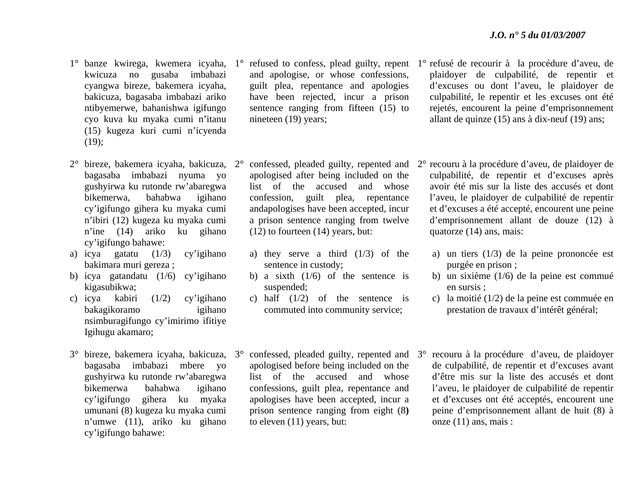- kwicuza no gusaba imbabazi cyangwa bireze, bakemera icyaha, bakicuza, bagasaba imbabazi ariko ntibyemerwe, bahanishwa igifungo cyo kuva ku myaka cumi n'itanu (15) kugeza kuri cumi n'icyenda  $(19);$
- 2° bireze, bakemera icyaha, bakicuza, 2°bagasaba imbabazi nyuma yo gushyirwa ku rutonde rw'abaregwa bikemerwa, bahabwa igihano cy'igifungo gihera ku myaka cumi <sup>n</sup>'ibiri (12) kugeza ku myaka cumi <sup>n</sup>'ine (14) ariko ku gihano cy'igifungo bahawe:
- a) icya gatatu (1/3) cy'igihano bakimara muri gereza ;
- b) icya gatandatu (1/6) cy'igihano kigasubikwa;
- c) icya kabiri (1/2) cy'igihano bakagikoramo igihano nsimburagifungo cy'imirimo ifitiye Igihugu akamaro;
- 3° bireze, bakemera icyaha, bakicuza, 3°bagasaba imbabazi mbere yo gushyirwa ku rutonde rw'abaregwa bikemerwa bahabwa igihano cy'igifungo gihera ku myaka umunani (8) kugeza ku myaka cumi <sup>n</sup>'umwe (11), ariko ku gihano cy'igifungo bahawe:
- and apologise, or whose confessions, guilt plea, repentance and apologies have been rejected, incur a prison sentence ranging from fifteen (15) to nineteen (19) years;
- confessed, pleaded guilty, repented and apologised after being included on the list of the accused and whose confession, guilt plea, repentance andapologises have been accepted, incur a prison sentence ranging from twelve (12) to fourteen (14) years, but:
- a) they serve a third  $(1/3)$  of the sentence in custody;
- b) a sixth  $(1/6)$  of the sentence is suspended;
- c) half (1/2) of the sentence is commuted into community service;
- $\degree$  confessed, pleaded guilty, repented and  $\degree$ 3 $\degree$ apologised before being included on the list of the accused and whose confessions, guilt plea, repentance and apologises have been accepted, incur a prison sentence ranging from eight (8**)**  to eleven (11) years, but:
- 1° banze kwirega, kwemera icyaha, 1° refused to confess, plead guilty, repent 1° refusé de recourir à la procédure d'aveu, de plaidoyer de culpabilité, de repentir et d'excuses ou dont l'aveu, le plaidoyer de culpabilité, le repentir et les excuses ont été rejetés, encourent la peine d'emprisonnement allant de quinze (15) ans à dix-neuf (19) ans;
	- 2° recouru à la procédure d'aveu, de plaidoyer de culpabilité, de repentir et d'excuses après avoir été mis sur la liste des accusés et dont l'aveu, le plaidoyer de culpabilité de repentir et d'excuses a été accepté, encourent une peine d'emprisonnement allant de douze (12) à quatorze (14) ans, mais:
		- a) un tiers (1/3) de la peine prononcée est purgée en prison ;
		- b) un sixième (1/6) de la peine est commué en sursis ;
		- c) la moitié (1/2) de la peine est commuée en prestation de travaux d'intérêt général;
	- recouru à la procédure d'aveu, de plaidoyer de culpabilité, de repentir et d'excuses avant d'être mis sur la liste des accusés et dont l'aveu, le plaidoyer de culpabilité de repentir et d'excuses ont été acceptés, encourent une peine d'emprisonnement allant de huit (8) à onze (11) ans, mais :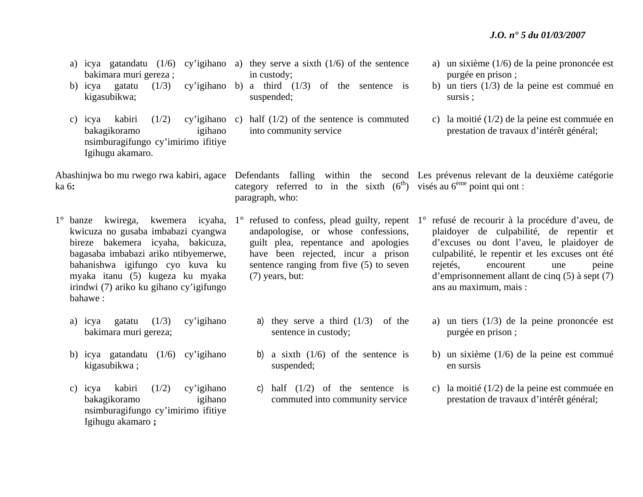- bakimara muri gereza ;
- b) icya gatatu  $(1/3)$ kigasubikwa;
- c) icya kabiri  $(1/2)$ bakagikoramo igihano nsimburagifungo cy'imirimo ifitiye Igihugu akamaro.

ka 6**:** 

- kwicuza no gusaba imbabazi cyangwa bireze bakemera icyaha, bakicuza, bagasaba imbabazi ariko ntibyemerwe, bahanishwa igifungo cyo kuva ku myaka itanu (5) kugeza ku myaka irindwi (7) ariko ku gihano cy'igifungo bahawe :
	- a) icya gatatu (1/3) cy'igihano bakimara muri gereza;
	- b) icya gatandatu (1/6) cy'igihano kigasubikwa ;
	- c) icya kabiri (1/2) cy'igihano bakagikoramo igihano nsimburagifungo cy'imirimo ifitiye Igihugu akamaro **;**
- a) icya gatandatu (1/6) cy'igihano a) they serve a sixth (1/6) of the sentence in custody;
	- cy'igihano b) a third  $(1/3)$  of the sentence is suspended;
	- cy'igihano c) half  $(1/2)$  of the sentence is commuted into community service

category referred to in the sixth  $(6<sup>th</sup>)$  visés au  $6<sup>eme</sup>$  point qui ont : paragraph, who:

- andapologise, or whose confessions, guilt plea, repentance and apologies have been rejected, incur a prison sentence ranging from five (5) to seven (7) years, but:
	- a) they serve a third  $(1/3)$  of the sentence in custody;
	- b) a sixth  $(1/6)$  of the sentence is suspended;
	- c) half  $(1/2)$  of the sentence is commuted into community service
- a) un sixième (1/6) de la peine prononcée est purgée en prison ;
- b) un tiers (1/3) de la peine est commué en sursis ;
- c) la moitié (1/2) de la peine est commuée en prestation de travaux d'intérêt général;

Abashinjwa bo mu rwego rwa kabiri, agace Defendants falling within the second Les prévenus relevant de la deuxième catégorie

- 1° banze kwirega, kwemera icyaha, 1° refused to confess, plead guilty, repent 1° refusé de recourir à la procédure d'aveu, de plaidoyer de culpabilité, de repentir et d'excuses ou dont l'aveu, le plaidoyer de culpabilité, le repentir et les excuses ont été rejetés, encourent une peine d'emprisonnement allant de cinq (5) à sept (7) ans au maximum, mais :
	- a) un tiers (1/3) de la peine prononcée est purgée en prison ;
	- b) un sixième (1/6) de la peine est commué en sursis
	- c) la moitié (1/2) de la peine est commuée en prestation de travaux d'intérêt général;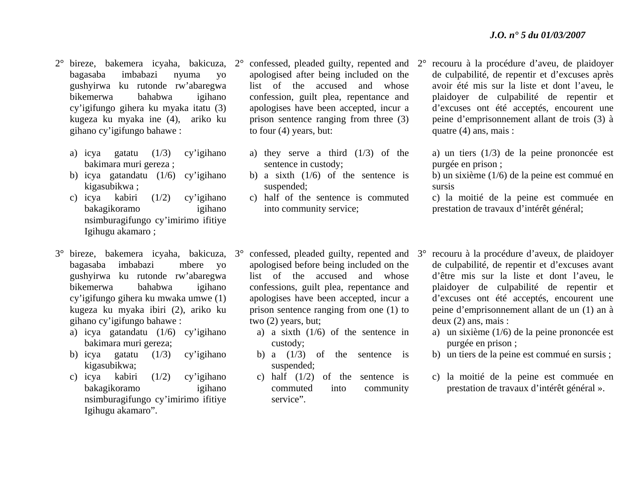- 2° bireze, bakemera icyaha, bakicuza, 2°bagasaba imbabazi nyuma yo gushyirwa ku rutonde rw'abaregwa bikemerwa bahabwa igihano cy'igifungo gihera ku myaka itatu (3) kugeza ku myaka ine (4), ariko ku gihano cy'igifungo bahawe :
	- a) icya gatatu (1/3) cy'igihano bakimara muri gereza ;
	- b) icya gatandatu (1/6) cy'igihano kigasubikwa ;
	- c) icya kabiri (1/2) cy'igihano bakagikoramo igihano nsimburagifungo cy'imirimo ifitiye Igihugu akamaro ;
- 3° bireze, bakemera icyaha, bakicuza, 3°bagasaba imbabazi mbere yo gushyirwa ku rutonde rw'abaregwa bikemerwa bahabwa igihano cy'igifungo gihera ku mwaka umwe (1) kugeza ku myaka ibiri (2), ariko ku gihano cy'igifungo bahawe :
	- a) icya gatandatu (1/6) cy'igihano bakimara muri gereza;
	- b) icya gatatu (1/3) cy'igihano kigasubikwa;
	- c) icya kabiri (1/2) cy'igihano bakagikoramo igihano nsimburagifungo cy'imirimo ifitiye Igihugu akamaro".
- $\degree$  confessed, pleaded guilty, repented and  $2\degree$ apologised after being included on the list of the accused and whose confession, guilt plea, repentance and apologises have been accepted, incur a prison sentence ranging from three (3) to four (4) years, but:
	- a) they serve a third (1/3) of the sentence in custody;
	- b) a sixth  $(1/6)$  of the sentence is suspended;
	- c) half of the sentence is commuted into community service;

 recouru à la procédure d'aveu, de plaidoyer de culpabilité, de repentir et d'excuses après avoir été mis sur la liste et dont l'aveu, le plaidoyer de culpabilité de repentir et d'excuses ont été acceptés, encourent une peine d'emprisonnement allant de trois (3) à quatre (4) ans, mais :

a) un tiers (1/3) de la peine prononcée est purgée en prison ;

b) un sixième (1/6) de la peine est commué en sursis

c) la moitié de la peine est commuée en prestation de travaux d'intérêt général;

- <sup>o</sup> confessed, pleaded guilty, repented and 3<sup>o</sup> apologised before being included on the list of the accused and whose confessions, guilt plea, repentance and apologises have been accepted, incur a prison sentence ranging from one (1) to two (2) years, but;
	- a) a sixth (1/6) of the sentence in custody;
	- b) a  $(1/3)$  of the sentence is suspended;
	- c) half (1/2) of the sentence is commuted into community service".
- recouru à la procédure d'aveux, de plaidoyer de culpabilité, de repentir et d'excuses avant d'être mis sur la liste et dont l'aveu, le plaidoyer de culpabilité de repentir et d'excuses ont été acceptés, encourent une peine d'emprisonnement allant de un (1) an à deux (2) ans, mais :
	- a) un sixième (1/6) de la peine prononcée est purgée en prison ;
- b) un tiers de la peine est commué en sursis ;
- c) la moitié de la peine est commuée en prestation de travaux d'intérêt général ».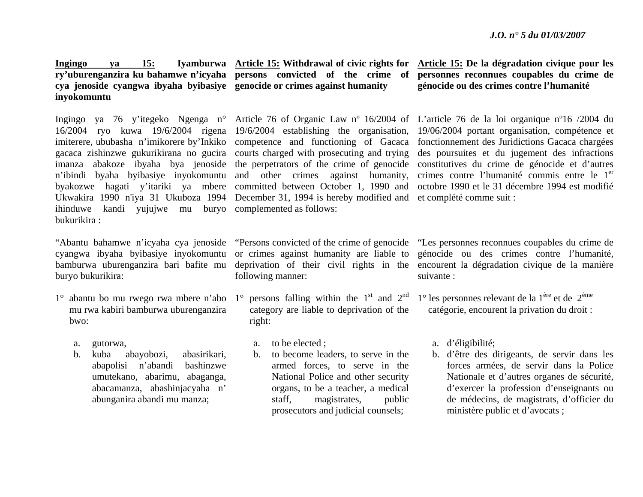**cya jenoside cyangwa ibyaha byibasiye genocide or crimes against humanity inyokomuntu** 

16/2004 ryo kuwa 19/6/2004 rigena 19/6/2004 establishing the organisation, imiterere, ububasha n'imikorere by'Inkiko competence and functioning of Gacaca gacaca zishinzwe gukurikirana no gucira courts charged with prosecuting and trying <sup>n</sup>'ibindi byaha byibasiye inyokomuntu and other crimes against humanity, byakozwe hagati y'itariki ya mbere committed between October 1, 1990 and Ukwakira 1990 n'iya 31 Ukuboza 1994 December 31, 1994 is hereby modified and et complété comme suit : ihinduwe kandi yujujwe mu buryo complemented as follows: bukurikira :

buryo bukurikira:

- mu rwa kabiri bamburwa uburenganzira bwo:
	- a.gutorwa,
	- b. kuba abayobozi, abasirikari, abapolisi n'abandi bashinzwe umutekano, abarimu, abaganga, abacamanza, abashinjacyaha n' abunganira abandi mu manza;

**Ingingo ya 15: Iyamburwa Article 15: Withdrawal of civic rights for ry'uburenganzira ku bahamwe n'icyaha persons convicted of the crime of** 

following manner:

- 1° abantu bo mu rwego rwa mbere n'abo 1° persons falling within the 1<sup>st</sup> and 2<sup>nd</sup> category are liable to deprivation of the right:
	- a.to be elected ;
	- b. to become leaders, to serve in the armed forces, to serve in the National Police and other security organs, to be a teacher, a medical staff, magistrates, public prosecutors and judicial counsels;

**Article 15: De la dégradation civique pour les personnes reconnues coupables du crime de génocide ou des crimes contre l'humanité** 

Ingingo ya 76 y'itegeko Ngenga n° Article 76 of Organic Law nº 16/2004 of L'article 76 de la loi organique nº16 /2004 du imanza abakoze ibyaha bya jenoside the perpetrators of the crime of genocide constitutives du crime de génocide et d'autres 19/06/2004 portant organisation, compétence et fonctionnement des Juridictions Gacaca chargées des poursuites et du jugement des infractions crimes contre l'humanité commis entre le 1<sup>er</sup> octobre 1990 et le 31 décembre 1994 est modifié

"Abantu bahamwe n'icyaha cya jenoside "Persons convicted of the crime of genocide "Les personnes reconnues coupables du crime de cyangwa ibyaha byibasiye inyokomuntu or crimes against humanity are liable to génocide ou des crimes contre l'humanité, bamburwa uburenganzira bari bafite mu deprivation of their civil rights in the encourent la dégradation civique de la manière suivante :

- 1° les personnes relevant de la 1ère et de 2ème catégorie, encourent la privation du droit :
	- a. d'éligibilité;
	- b. d'être des dirigeants, de servir dans les forces armées, de servir dans la Police Nationale et d'autres organes de sécurité, d'exercer la profession d'enseignants ou de médecins, de magistrats, d'officier du ministère public et d'avocats ;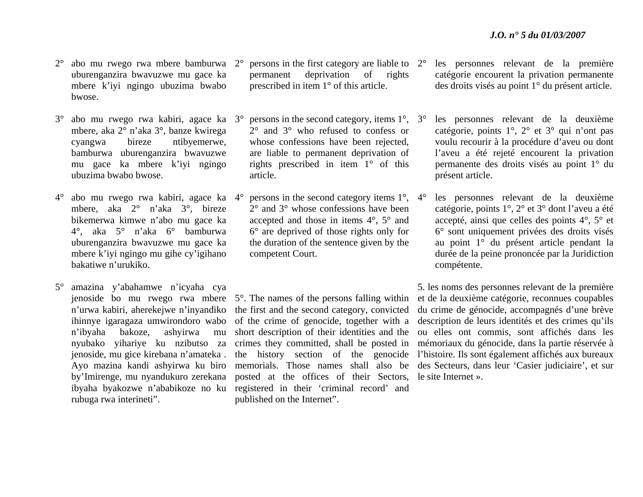- 2° abo mu rwego rwa mbere bamburwa 2°uburenganzira bwavuzwe mu gace ka mbere k'iyi ngingo ubuzima bwabo bwose.
- 3° abo mu rwego rwa kabiri, agace ka 3°mbere, aka 2° n'aka 3°, banze kwirega cyangwa bireze ntibyemerwe, bamburwa uburenganzira bwavuzwe mu gace ka mbere k'iyi ngingo ubuzima bwabo bwose.
- $4^\circ$  $^{\circ}$  abo mu rwego rwa kabiri, agace ka 4 $^{\circ}$ mbere, aka 2° n'aka 3°, bireze bikemerwa kimwe n'abo mu gace ka 4°, aka 5° n'aka 6° bamburwa uburenganzira bwavuzwe mu gace ka mbere k'iyi ngingo mu gihe cy'igihano bakatiwe n'urukiko.
- $5^\circ$  amazina y'abahamwe n'icyaha cya ihinnye igaragaza umwirondoro wabo n'ibyaha bakoze, ashyirwa rubuga rwa interineti".
- $\degree$  persons in the first category are liable to  $2\degree$ permanent deprivation of rights prescribed in item 1° of this article.
- $\degree$  persons in the second category, items  $1\degree$ ,  $3\degree$ 2° and 3° who refused to confess or whose confessions have been rejected. are liable to permanent deprivation of rights prescribed in item 1° of this article.
- <sup>o</sup> persons in the second category items 1<sup>o</sup>, 4<sup>o</sup> 2° and 3° whose confessions have been accepted and those in items 4°, 5° and 6° are deprived of those rights only for the duration of the sentence given by the competent Court.

jenoside bo mu rwego rwa mbere 5°. The names of the persons falling within <sup>n</sup>'urwa kabiri, aherekejwe n'inyandiko the first and the second category, convicted nyubako yihariye ku nzibutso za crimes they committed, shall be posted in by'Imirenge, mu nyandukuro zerekana posted at the offices of their Sectors, le site Internet ». ibyaha byakozwe n'ababikoze no ku registered in their 'criminal record' and of the crime of genocide, together with a short description of their identities and the published on the Internet".

- les personnes relevant de la première catégorie encourent la privation permanente des droits visés au point 1° du présent article.
- les personnes relevant de la deuxième catégorie, points 1°, 2° et 3° qui n'ont pas voulu recourir à la procédure d'aveu ou dont l'aveu a été rejeté encourent la privation permanente des droits visés au point 1° du présent article.
- les personnes relevant de la deuxième catégorie, points 1°, 2° et 3° dont l'aveu a été accepté, ainsi que celles des points 4°, 5° et 6° sont uniquement privées des droits visés au point 1° du présent article pendant la durée de la peine prononcée par la Juridiction compétente.

jenoside, mu gice kirebana n'amateka . the history section of the genocide l'histoire. Ils sont également affichés aux bureaux Ayo mazina kandi ashyirwa ku biro memorials. Those names shall also be des Secteurs, dans leur 'Casier judiciaire', et sur 5. les noms des personnes relevant de la première et de la deuxième catégorie, reconnues coupables du crime de génocide, accompagnés d'une brève description de leurs identités et des crimes qu'ils ou elles ont commis, sont affichés dans les mémoriaux du génocide, dans la partie réservée à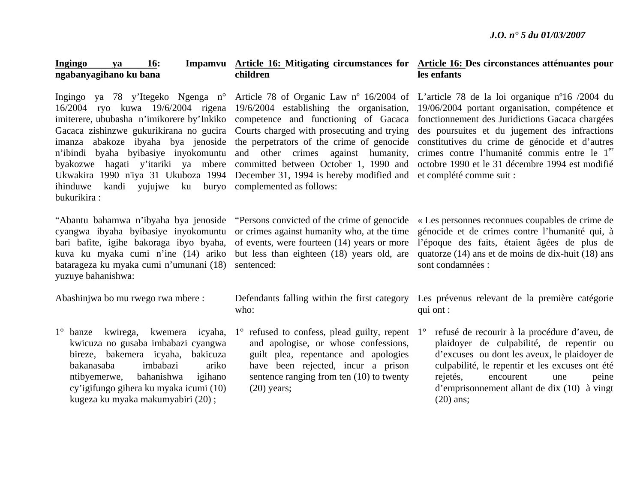#### **Ingingo ya 16: Impamvu Article 16: Mitigating circumstances for Article 16: Des circonstances atténuantes pour ngabanyagihano ku bana children les enfants**

ihinduwe kandi yujujwe ku buryo complemented as follows: bukurikira :

bari bafite, igihe bakoraga ibyo byaha, of events, were fourteen (14) years or more kuva ku myaka cumi n'ine (14) ariko but less than eighteen (18) years old, are batarageza ku myaka cumi n'umunani (18) sentenced: yuzuye bahanishwa:

Abashinjwa bo mu rwego rwa mbere :

1° banze kwirega, kwemera icyaha, 1° refused to confess, plead guilty, repent kwicuza no gusaba imbabazi cyangwa bireze, bakemera icyaha, bakicuza bakanasaba imbabazi ariko ntibyemerwe, bahanishwa igihano cy'igifungo gihera ku myaka icumi (10) kugeza ku myaka makumyabiri (20) ;

### 16/2004 ryo kuwa 19/6/2004 rigena 19/6/2004 establishing the organisation, imiterere, ububasha n'imikorere by'Inkiko competence and functioning of Gacaca Gacaca zishinzwe gukurikirana no gucira Courts charged with prosecuting and trying <sup>n</sup>'ibindi byaha byibasiye inyokomuntu and other crimes against humanity, Ukwakira 1990 n'iya 31 Ukuboza 1994 December 31, 1994 is hereby modified and et complété comme suit :

who:

and apologise, or whose confessions, guilt plea, repentance and apologies have been rejected, incur a prison sentence ranging from ten (10) to twenty  $(20)$  years;

Ingingo ya 78 y'Itegeko Ngenga n° Article 78 of Organic Law nº 16/2004 of L'article 78 de la loi organique nº16 /2004 du imanza abakoze ibyaha bya jenoside the perpetrators of the crime of genocide constitutives du crime de génocide et d'autres byakozwe hagati y'itariki ya mbere committed between October 1, 1990 and octobre 1990 et le 31 décembre 1994 est modifié 19/06/2004 portant organisation, compétence et fonctionnement des Juridictions Gacaca chargées des poursuites et du jugement des infractions crimes contre l'humanité commis entre le 1<sup>er</sup>

"Abantu bahamwa n'ibyaha bya jenoside "Persons convicted of the crime of genocide « Les personnes reconnues coupables de crime de cyangwa ibyaha byibasiye inyokomuntu or crimes against humanity who, at the time génocide et de crimes contre l'humanité qui, à l'époque des faits, étaient âgées de plus de quatorze (14) ans et de moins de dix-huit (18) ans sont condamnées :

> Defendants falling within the first category Les prévenus relevant de la première catégorie qui ont :

> > 1° refusé de recourir à la procédure d'aveu, de plaidoyer de culpabilité, de repentir ou d'excuses ou dont les aveux, le plaidoyer de culpabilité, le repentir et les excuses ont été rejetés, encourent une peine d'emprisonnement allant de dix (10) à vingt (20) ans;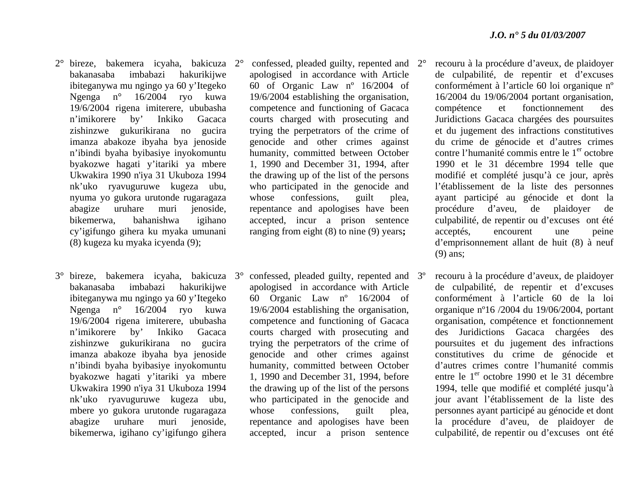- 2° bireze, bakemera icyaha, bakicuza bakanasaba imbabazi hakurikijwe ibiteganywa mu ngingo ya 60 y'Itegeko Ngenga n° 16/2004 ryo kuwa 19/6/2004 rigena imiterere, ububasha <sup>n</sup>'imikorere by' Inkiko Gacaca zishinzwe gukurikirana no gucira imanza abakoze ibyaha bya jenoside <sup>n</sup>'ibindi byaha byibasiye inyokomuntu byakozwe hagati y'itariki ya mbere Ukwakira 1990 n'iya 31 Ukuboza 1994 nk'uko ryavuguruwe kugeza ubu, nyuma yo gukora urutonde rugaragaza abagize uruhare muri jenoside, bikemerwa, bahanishwa igihano cy'igifungo gihera ku myaka umunani (8) kugeza ku myaka icyenda (9);
- 3° bireze, bakemera icyaha, bakicuza 3°bakanasaba imbabazi hakurikijwe ibiteganywa mu ngingo ya 60 y'Itegeko Ngenga n° 16/2004 ryo kuwa 19/6/2004 rigena imiterere, ububasha <sup>n</sup>'imikorere by' Inkiko Gacaca zishinzwe gukurikirana no gucira imanza abakoze ibyaha bya jenoside <sup>n</sup>'ibindi byaha byibasiye inyokomuntu byakozwe hagati y'itariki ya mbere Ukwakira 1990 n'iya 31 Ukuboza 1994 nk'uko ryavuguruwe kugeza ubu, mbere yo gukora urutonde rugaragaza abagize uruhare muri jenoside, bikemerwa, igihano cy'igifungo gihera
- 2° confessed, pleaded guilty, repented and apologised in accordance with Article 60 of Organic Law nº 16/2004 of 19/6/2004 establishing the organisation, competence and functioning of Gacaca courts charged with prosecuting and trying the perpetrators of the crime of genocide and other crimes against humanity, committed between October 1, 1990 and December 31, 1994, after the drawing up of the list of the persons who participated in the genocide and whose confessions, guilt plea, repentance and apologises have been accepted, incur a prison sentence ranging from eight (8) to nine (9) years**;**
- confessed, pleaded guilty, repented and apologised in accordance with Article 60 Organic Law nº 16/2004 of 19/6/2004 establishing the organisation, competence and functioning of Gacaca courts charged with prosecuting and trying the perpetrators of the crime of genocide and other crimes against humanity, committed between October 1, 1990 and December 31, 1994, before the drawing up of the list of the persons who participated in the genocide and whose confessions, guilt plea, repentance and apologises have been accepted, incur a prison sentence
- 2° recouru à la procédure d'aveux, de plaidoyer de culpabilité, de repentir et d'excuses conformément à l'article 60 loi organique nº 16/2004 du 19/06/2004 portant organisation, compétence et fonctionnement des Juridictions Gacaca chargées des poursuites et du jugement des infractions constitutives du crime de génocide et d'autres crimes contre l'humanité commis entre le 1<sup>er</sup> octobre 1990 et le 31 décembre 1994 telle que modifié et complété jusqu'à ce jour, après l'établissement de la liste des personnes ayant participé au génocide et dont la procédure d'aveu, de plaidoyer de culpabilité, de repentir ou d'excuses ont été acceptés, encourent une peine d'emprisonnement allant de huit (8) à neuf (9) ans;
- recouru à la procédure d'aveux, de plaidoyer de culpabilité, de repentir et d'excuses conformément à l'article 60 de la loi organique nº16 /2004 du 19/06/2004, portant organisation, compétence et fonctionnement des Juridictions Gacaca chargées des poursuites et du jugement des infractions constitutives du crime de génocide et d'autres crimes contre l'humanité commis entre le 1<sup>er</sup> octobre 1990 et le 31 décembre 1994, telle que modifié et complété jusqu'à jour avant l'établissement de la liste des personnes ayant participé au génocide et dont la procédure d'aveu, de plaidoyer de culpabilité, de repentir ou d'excuses ont été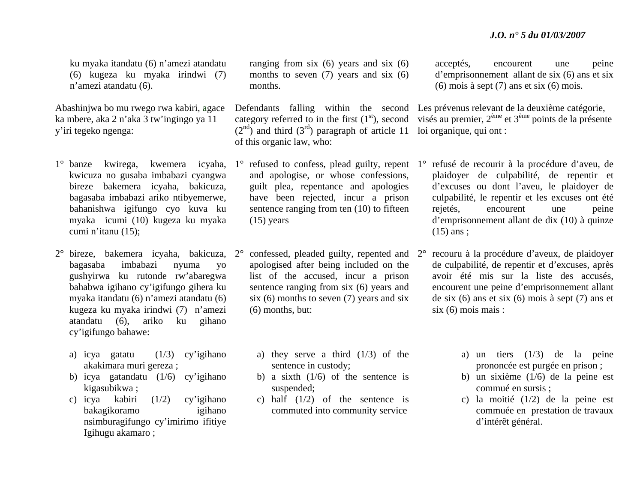ku myaka itandatu (6) n'amezi atandatu (6) kugeza ku myaka irindwi (7) <sup>n</sup>'amezi atandatu (6).

Abashinjwa bo mu rwego rwa kabiri, agace ka mbere, aka 2 n'aka 3 tw'ingingo ya 11 y'iri tegeko ngenga:

- kwicuza no gusaba imbabazi cyangwa bireze bakemera icyaha, bakicuza, bagasaba imbabazi ariko ntibyemerwe, bahanishwa igifungo cyo kuva ku myaka icumi (10) kugeza ku myaka cumi n'itanu (15);
- 2° bireze, bakemera icyaha, bakicuza, 2°bagasaba imbabazi nyuma yo gushyirwa ku rutonde rw'abaregwa bahabwa igihano cy'igifungo gihera ku myaka itandatu (6) n'amezi atandatu (6) kugeza ku myaka irindwi (7) n'amezi atandatu (6), ariko ku gihano cy'igifungo bahawe:
	- a) icya gatatu (1/3) cy'igihano akakimara muri gereza ;
	- b) icya gatandatu (1/6) cy'igihano kigasubikwa ;
	- c) icya kabiri (1/2) cy'igihano bakagikoramo igihano nsimburagifungo cy'imirimo ifitiye Igihugu akamaro ;

ranging from six (6) years and six (6) months to seven (7) years and six (6) months.

 $(2<sup>nd</sup>)$  and third  $(3<sup>rd</sup>)$  paragraph of article 11 loi organique, qui ont : of this organic law, who:

- and apologise, or whose confessions, guilt plea, repentance and apologies have been rejected, incur a prison sentence ranging from ten (10) to fifteen  $(15)$  years
- <sup>o</sup> confessed, pleaded guilty, repented and 2<sup>o</sup> apologised after being included on the list of the accused, incur a prison sentence ranging from six (6) years and six  $(6)$  months to seven  $(7)$  years and six (6) months, but:
	- a) they serve a third  $(1/3)$  of the sentence in custody;
	- b) a sixth  $(1/6)$  of the sentence is suspended;
	- c) half  $(1/2)$  of the sentence is commuted into community service

acceptés, encourent une peine d'emprisonnement allant de six (6) ans et six (6) mois à sept (7) ans et six (6) mois.

Defendants falling within the second Les prévenus relevant de la deuxième catégorie, category referred to in the first  $(1<sup>st</sup>)$ , second visés au premier,  $2<sup>eme</sup>$  et  $3<sup>eme</sup>$  points de la présente

- 1<sup>°</sup> banze kwirega, kwemera icyaha, 1<sup>°</sup> refused to confess, plead guilty, repent 1<sup>°</sup> refusé de recourir à la procédure d'aveu, de plaidoyer de culpabilité, de repentir et d'excuses ou dont l'aveu, le plaidoyer de culpabilité, le repentir et les excuses ont été rejetés, encourent une peine d'emprisonnement allant de dix (10) à quinze  $(15)$  ans :
	- recouru à la procédure d'aveux, de plaidoyer de culpabilité, de repentir et d'excuses, après avoir été mis sur la liste des accusés, encourent une peine d'emprisonnement allant de six (6) ans et six (6) mois à sept (7) ans et six (6) mois mais :
		- a) un tiers (1/3) de la peine prononcée est purgée en prison ;
		- b) un sixième (1/6) de la peine est commué en sursis ;
		- c) la moitié (1/2) de la peine est commuée en prestation de travaux d'intérêt général.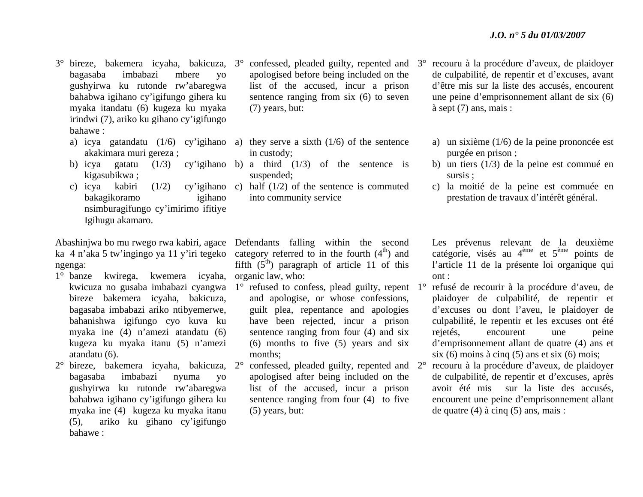- 3° bireze, bakemera icyaha, bakicuza, 3°bagasaba imbabazi mbere yo gushyirwa ku rutonde rw'abaregwa bahabwa igihano cy'igifungo gihera ku myaka itandatu (6) kugeza ku myaka irindwi (7), ariko ku gihano cy'igifungo bahawe :
	- akakimara muri gereza ;
	- b) icya gatatu  $(1/3)$ kigasubikwa ;
	- bakagikoramo igihano nsimburagifungo cy'imirimo ifitiye Igihugu akamaro.

Abashinjwa bo mu rwego rwa kabiri, agace Defendants falling within the second ka 4 n'aka 5 tw'ingingo ya 11 y'iri tegeko category referred to in the fourth  $(4<sup>th</sup>)$  and ngenga:

- 1° banze kwirega, kwemera icyaha, organic law, who: bireze bakemera icyaha, bakicuza, bagasaba imbabazi ariko ntibyemerwe, bahanishwa igifungo cyo kuva ku myaka ine (4) n'amezi atandatu (6) kugeza ku myaka itanu (5) n'amezi atandatu (6).
- 2° bireze, bakemera icyaha, bakicuza, 2°bagasaba imbabazi nyuma yo gushyirwa ku rutonde rw'abaregwa bahabwa igihano cy'igifungo gihera ku myaka ine (4) kugeza ku myaka itanu (5), ariko ku gihano cy'igifungo bahawe :
- $\degree$  confessed, pleaded guilty, repented and  $\degree$ 3 $\degree$ apologised before being included on the list of the accused, incur a prison sentence ranging from six (6) to seven (7) years, but:
- a) icya gatandatu (1/6) cy'igihano a) they serve a sixth (1/6) of the sentence in custody;
	- cy'igihano b) a third  $(1/3)$  of the sentence is suspended;
- c) icya kabiri (1/2) cy'igihano c) half (1/2) of the sentence is commuted into community service

fifth  $(5<sup>th</sup>)$  paragraph of article 11 of this

- kwicuza no gusaba imbabazi cyangwa 1° refused to confess, plead guilty, repent 1°and apologise, or whose confessions, guilt plea, repentance and apologies have been rejected, incur a prison sentence ranging from four (4) and six (6) months to five (5) years and six months;
	- <sup>o</sup> confessed, pleaded guilty, repented and 2<sup>o</sup> apologised after being included on the list of the accused, incur a prison sentence ranging from four (4) to five (5) years, but:
- recouru à la procédure d'aveux, de plaidoyer de culpabilité, de repentir et d'excuses, avant d'être mis sur la liste des accusés, encourent une peine d'emprisonnement allant de six (6) à sept (7) ans, mais :
	- a) un sixième (1/6) de la peine prononcée est purgée en prison ;
	- b) un tiers (1/3) de la peine est commué en sursis ;
	- c) la moitié de la peine est commuée en prestation de travaux d'intérêt général.

Les prévenus relevant de la deuxième catégorie, visés au 4ème et 5ème points de l'article 11 de la présente loi organique qui ont :

- refusé de recourir à la procédure d'aveu, de plaidoyer de culpabilité, de repentir et d'excuses ou dont l'aveu, le plaidoyer de culpabilité, le repentir et les excuses ont été rejetés, encourent une peine d'emprisonnement allant de quatre (4) ans et six (6) moins à cinq (5) ans et six (6) mois;
- recouru à la procédure d'aveux, de plaidoyer de culpabilité, de repentir et d'excuses, après avoir été mis sur la liste des accusés, encourent une peine d'emprisonnement allant de quatre (4) à cinq (5) ans, mais :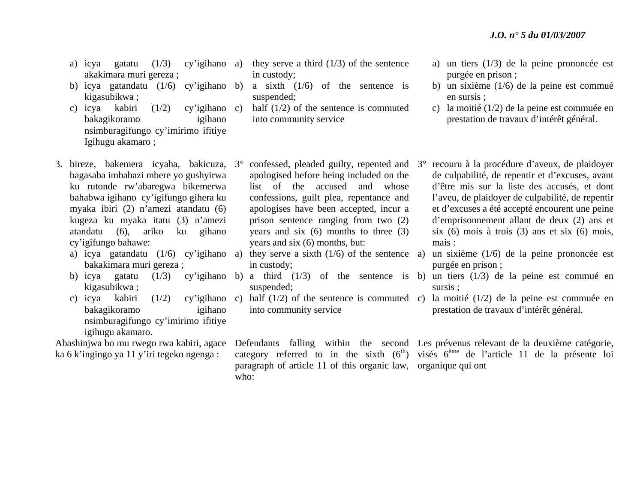- a) icya gatatu  $(1/3)$  cy'igihano a) akakimara muri gereza ;
- b) icya gatandatu (1/6) cy'igihano b) a sixth (1/6) of the sentence is kigasubikwa ;
- c) icya kabiri (1/2) cy'igihano bakagikoramo igihano nsimburagifungo cy'imirimo ifitiye Igihugu akamaro ;
- 3. bireze, bakemera icyaha, bakicuza, 3° confessed, pleaded guilty, repented and 3°bagasaba imbabazi mbere yo gushyirwa ku rutonde rw'abaregwa bikemerwa bahabwa igihano cy'igifungo gihera ku myaka ibiri (2) n'amezi atandatu (6) kugeza ku myaka itatu (3) n'amezi atandatu (6), ariko ku gihano cy'igifungo bahawe:
	- bakakimara muri gereza ;
	- kigasubikwa ;
	- c) icya kabiri  $(1/2)$ bakagikoramo igihano nsimburagifungo cy'imirimo ifitiye igihugu akamaro.

ka 6 k'ingingo ya 11 y'iri tegeko ngenga :

- they serve a third  $(1/3)$  of the sentence in custody;
- suspended;
- half  $(1/2)$  of the sentence is commuted into community service
- a) un tiers (1/3) de la peine prononcée est purgée en prison ;
- b) un sixième (1/6) de la peine est commué en sursis ;
- c) la moitié (1/2) de la peine est commuée en prestation de travaux d'intérêt général.
- apologised before being included on the list of the accused and whose confessions, guilt plea, repentance and apologises have been accepted, incur a prison sentence ranging from two (2) years and six (6) months to three (3) years and six (6) months, but:
- a) icya gatandatu (1/6) cy'igihano a) they serve a sixth (1/6) of the sentence in custody;
	- suspended;
	- into community service

paragraph of article 11 of this organic law, organique qui ont who:

- recouru à la procédure d'aveux, de plaidoyer de culpabilité, de repentir et d'excuses, avant d'être mis sur la liste des accusés, et dont l'aveu, de plaidoyer de culpabilité, de repentir et d'excuses a été accepté encourent une peine d'emprisonnement allant de deux (2) ans et six (6) mois à trois (3) ans et six (6) mois, mais :
- un sixième  $(1/6)$  de la peine prononcée est purgée en prison ;
- b) icya gatatu (1/3) cy'igihano b) a third (1/3) of the sentence is b) un tiers (1/3) de la peine est commué en sursis ;
	- c) half (1/2) of the sentence is commuted c) la moitié (1/2) de la peine est commuée en prestation de travaux d'intérêt général.

Abashinjwa bo mu rwego rwa kabiri, agace Defendants falling within the second Les prévenus relevant de la deuxième catégorie, category referred to in the sixth  $(6<sup>th</sup>)$  visés  $6<sup>eme</sup>$  de l'article 11 de la présente loi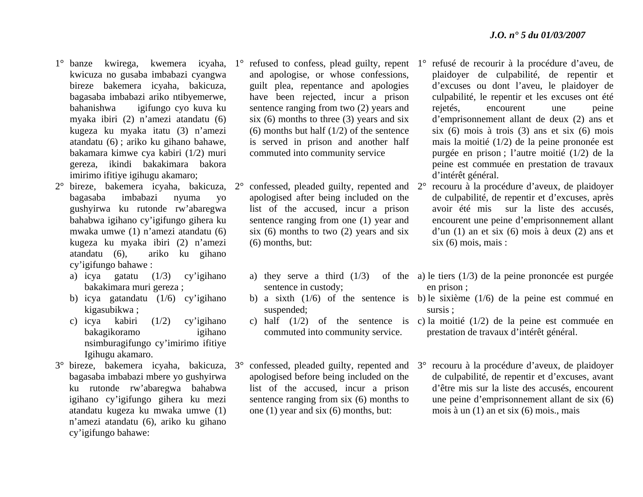- kwicuza no gusaba imbabazi cyangwa bireze bakemera icyaha, bakicuza, bagasaba imbabazi ariko ntibyemerwe, bahanishwa igifungo cyo kuva ku myaka ibiri (2) n'amezi atandatu (6) kugeza ku myaka itatu (3) n'amezi atandatu (6) ; ariko ku gihano bahawe, bakamara kimwe cya kabiri (1/2) muri gereza, ikindi bakakimara bakora imirimo ifitiye igihugu akamaro;
- 2° bireze, bakemera icyaha, bakicuza, 2°bagasaba imbabazi nyuma yo gushyirwa ku rutonde rw'abaregwa bahabwa igihano cy'igifungo gihera ku mwaka umwe (1) n'amezi atandatu (6) kugeza ku myaka ibiri (2) n'amezi atandatu (6), ariko ku gihano cy'igifungo bahawe :
	- a) icya gatatu (1/3) cy'igihano bakakimara muri gereza ;
	- b) icya gatandatu (1/6) cy'igihano kigasubikwa ;
	- c) icya kabiri (1/2) cy'igihano bakagikoramo igihano nsimburagifungo cy'imirimo ifitiye Igihugu akamaro.
- 3° bireze, bakemera icyaha, bakicuza, 3°bagasaba imbabazi mbere yo gushyirwa ku rutonde rw'abaregwa bahabwa igihano cy'igifungo gihera ku mezi atandatu kugeza ku mwaka umwe (1) <sup>n</sup>'amezi atandatu (6), ariko ku gihano cy'igifungo bahawe:
- and apologise, or whose confessions, guilt plea, repentance and apologies have been rejected, incur a prison sentence ranging from two (2) years and six  $(6)$  months to three  $(3)$  years and six (6) months but half (1/2) of the sentence is served in prison and another half commuted into community service
- $\degree$  confessed, pleaded guilty, repented and  $2\degree$ apologised after being included on the list of the accused, incur a prison sentence ranging from one (1) year and six  $(6)$  months to two  $(2)$  years and six (6) months, but:
	- sentence in custody;
	- suspended;
	- commuted into community service.
- <sup>o</sup> confessed, pleaded guilty, repented and 3<sup>o</sup> apologised before being included on the list of the accused, incur a prison sentence ranging from six (6) months to one (1) year and six (6) months, but:
- 1° banze kwirega, kwemera icyaha, 1° refused to confess, plead guilty, repent 1° refusé de recourir à la procédure d'aveu, de plaidoyer de culpabilité, de repentir et d'excuses ou dont l'aveu, le plaidoyer de culpabilité, le repentir et les excuses ont été rejetés, encourent une peine d'emprisonnement allant de deux (2) ans et six (6) mois à trois (3) ans et six (6) mois mais la moitié (1/2) de la peine prononée est purgée en prison ; l'autre moitié (1/2) de la peine est commuée en prestation de travaux d'intérêt général.
	- recouru à la procédure d'aveux, de plaidoyer de culpabilité, de repentir et d'excuses, après avoir été mis sur la liste des accusés, encourent une peine d'emprisonnement allant d'un (1) an et six (6) mois à deux (2) ans et  $six(6) \text{ mois. mais :}$
	- a) they serve a third (1/3) of the a) le tiers (1/3) de la peine prononcée est purgée en prison ;
	- b) a sixth (1/6) of the sentence is b) le sixième (1/6) de la peine est commué en sursis ;
	- c) half (1/2) of the sentence is c) la moitié (1/2) de la peine est commuée en prestation de travaux d'intérêt général.
		- recouru à la procédure d'aveux, de plaidoyer de culpabilité, de repentir et d'excuses, avant d'être mis sur la liste des accusés, encourent une peine d'emprisonnement allant de six (6) mois à un (1) an et six (6) mois., mais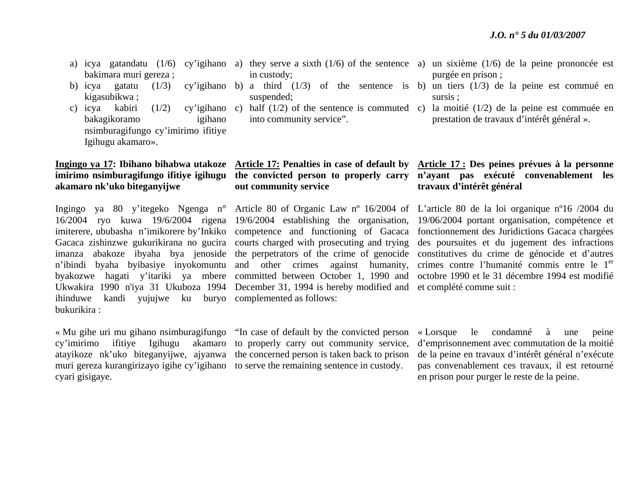- bakimara muri gereza ;
- b) icya gatatu  $(1/3)$ kigasubikwa ;
- c) icya kabiri (1/2) cy'igihano bakagikoramo igihano nsimburagifungo cy'imirimo ifitiye Igihugu akamaro».

# **akamaro nk'uko biteganyijwe**

ihinduwe kandi yujujwe ku buryo complemented as follows: bukurikira :

« Mu gihe uri mu gihano nsimburagifungo "In case of default by the convicted person  $cy'$ imirimo ifitiye Igihugu atayikoze nk'uko biteganyijwe, ajyanwa the concerned person is taken back to prison muri gereza kurangirizayo igihe cy'igihano to serve the remaining sentence in custody. cyari gisigaye.

- in custody;
- suspended;
- into community service".

### **imirimo nsimburagifungo ifitiye igihugu the convicted person to properly carry out community service**

16/2004 ryo kuwa 19/6/2004 rigena 19/6/2004 establishing the organisation, Gacaca zishinzwe gukurikirana no gucira courts charged with prosecuting and trying <sup>n</sup>'ibindi byaha byibasiye inyokomuntu and other crimes against humanity, byakozwe hagati y'itariki ya mbere committed between October 1, 1990 and Ukwakira 1990 n'iya 31 Ukuboza 1994 December 31, 1994 is hereby modified and et complété comme suit :

akamaro to properly carry out community service,

- a) icya gatandatu (1/6) cy'igihano a) they serve a sixth (1/6) of the sentence a) un sixième (1/6) de la peine prononcée est purgée en prison ;
	- b) a third (1/3) of the sentence is b) un tiers (1/3) de la peine est commué en sursis ;
	- c) half (1/2) of the sentence is commuted c) la moitié (1/2) de la peine est commuée en prestation de travaux d'intérêt général ».

#### **Ingingo ya 17: Ibihano bihabwa utakoze Article 17: Penalties in case of default by Article 17 : Des peines prévues à la personne <sup>n</sup>'ayant pas exécuté convenablement les travaux d'intérêt général**

Ingingo ya 80 y'itegeko Ngenga n° Article 80 of Organic Law nº 16/2004 of L'article 80 de la loi organique nº16 /2004 du imiterere, ububasha n'imikorere by'Inkiko competence and functioning of Gacaca fonctionnement des Juridictions Gacaca chargées imanza abakoze ibyaha bya jenoside the perpetrators of the crime of genocide constitutives du crime de génocide et d'autres 19/06/2004 portant organisation, compétence et des poursuites et du jugement des infractions crimes contre l'humanité commis entre le 1<sup>er</sup> octobre 1990 et le 31 décembre 1994 est modifié

> « Lorsque le condamné à une peine d'emprisonnement avec commutation de la moitié de la peine en travaux d'intérêt général n'exécute pas convenablement ces travaux, il est retourné en prison pour purger le reste de la peine.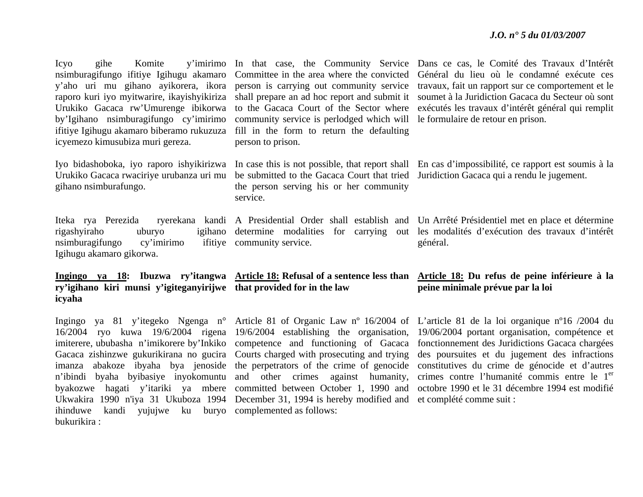by'Igihano nsimburagifungo cy'imirimo community service is perlodged which will le formulaire de retour en prison. ifitiye Igihugu akamaro biberamo rukuzuza fill in the form to return the defaulting icyemezo kimusubiza muri gereza.

gihano nsimburafungo.

Iteka rya Perezida rigashyiraho uburyo nsimburagifungo cy'imirimo Igihugu akamaro gikorwa.

**ry'igihano kiri munsi y'igiteganyirijwe that provided for in the law icyaha**

ihinduwe kandi yujujwe ku buryo complemented as follows: bukurikira :

person to prison.

the person serving his or her community service.

ifitiye community service.

Gacaca zishinzwe gukurikirana no gucira Courts charged with prosecuting and trying Ukwakira 1990 n'iya 31 Ukuboza 1994 December 31, 1994 is hereby modified and et complété comme suit :

Icyo gihe Komite y'imirimo In that case, the Community Service Dans ce cas, le Comité des Travaux d'Intérêt nsimburagifungo ifitiye Igihugu akamaro Committee in the area where the convicted Général du lieu où le condamné exécute ces y'aho uri mu gihano ayikorera, ikora person is carrying out community service travaux, fait un rapport sur ce comportement et le raporo kuri iyo myitwarire, ikayishyikiriza shall prepare an ad hoc report and submit it soumet à la Juridiction Gacaca du Secteur où sont Urukiko Gacaca rw'Umurenge ibikorwa to the Gacaca Court of the Sector where exécutés les travaux d'intérêt général qui remplit

Iyo bidashoboka, iyo raporo ishyikirizwa In case this is not possible, that report shall En cas d'impossibilité, ce rapport est soumis à la Urukiko Gacaca rwaciriye urubanza uri mu be submitted to the Gacaca Court that tried Juridiction Gacaca qui a rendu le jugement.

> A Presidential Order shall establish and Un Arrêté Présidentiel met en place et détermine determine modalities for carrying out les modalités d'exécution des travaux d'intérêt général.

#### **Ingingo ya 18: Ibuzwa ry'itangwa Article 18: Refusal of a sentence less than Article 18: Du refus de peine inférieure à la peine minimale prévue par la loi**

Ingingo ya 81 y'itegeko Ngenga n° Article 81 of Organic Law nº 16/2004 of L'article 81 de la loi organique nº16 /2004 du 16/2004 ryo kuwa 19/6/2004 rigena 19/6/2004 establishing the organisation, 19/06/2004 portant organisation, compétence et imiterere, ububasha n'imikorere by'Inkiko competence and functioning of Gacaca fonctionnement des Juridictions Gacaca chargées imanza abakoze ibyaha bya jenoside the perpetrators of the crime of genocide constitutives du crime de génocide et d'autres n'ibindi byaha byibasiye inyokomuntu and other crimes against humanity, crimes contre l'humanité commis entre le 1<sup>er</sup> byakozwe hagati y'itariki ya mbere committed between October 1, 1990 and octobre 1990 et le 31 décembre 1994 est modifié des poursuites et du jugement des infractions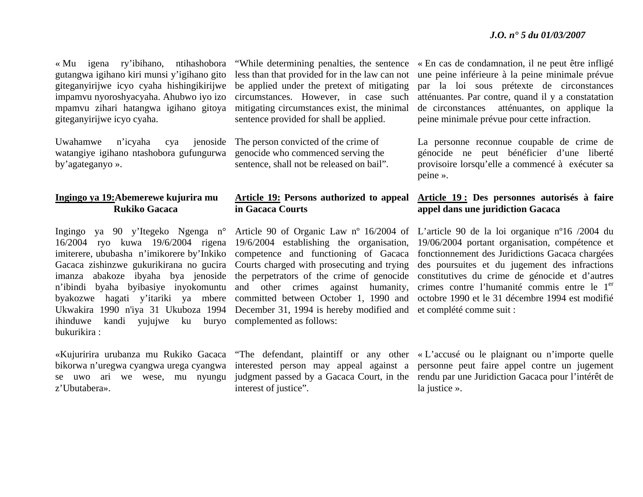gutangwa igihano kiri munsi y'igihano gito impamvu nyoroshyacyaha. Ahubwo iyo izo mpamvu zihari hatangwa igihano gitoya giteganyirijwe icyo cyaha.

Uwahamwe n'icyaha cya watangiye igihano ntashobora gufungurwa by'agateganyo ».

#### **Ingingo ya 19:Abemerewe kujurira mu Rukiko Gacaca**

ihinduwe kandi yujujwe ku buryo complemented as follows: bukurikira :

z'Ubutabera».

« Mu igena ry'ibihano, ntihashobora "While determining penalties, the sentence giteganyirijwe icyo cyaha hishingikirijwe be applied under the pretext of mitigating less than that provided for in the law can not circumstances. However, in case such mitigating circumstances exist, the minimal sentence provided for shall be applied.

> The person convicted of the crime of genocide who commenced serving the sentence, shall not be released on bail".

## **in Gacaca Courts**

16/2004 ryo kuwa 19/6/2004 rigena 19/6/2004 establishing the organisation, imiterere, ububasha n'imikorere by'Inkiko competence and functioning of Gacaca Gacaca zishinzwe gukurikirana no gucira Courts charged with prosecuting and trying <sup>n</sup>'ibindi byaha byibasiye inyokomuntu and other crimes against humanity, Ukwakira 1990 n'iya 31 Ukuboza 1994 December 31, 1994 is hereby modified and et complété comme suit :

interest of justice".

« En cas de condamnation, il ne peut être infligé une peine inférieure à la peine minimale prévue par la loi sous prétexte de circonstances atténuantes. Par contre, quand il y a constatation de circonstances atténuantes, on applique la peine minimale prévue pour cette infraction.

La personne reconnue coupable de crime de génocide ne peut bénéficier d'une liberté provisoire lorsqu'elle a commencé à exécuter sa peine ».

### **Article 19: Persons authorized to appeal Article 19 : Des personnes autorisés à faire appel dans une juridiction Gacaca**

Ingingo ya 90 y'Itegeko Ngenga n° Article 90 of Organic Law nº 16/2004 of L'article 90 de la loi organique nº16 /2004 du imanza abakoze ibyaha bya jenoside the perpetrators of the crime of genocide constitutives du crime de génocide et d'autres byakozwe hagati y'itariki ya mbere committed between October 1, 1990 and octobre 1990 et le 31 décembre 1994 est modifié 19/06/2004 portant organisation, compétence et fonctionnement des Juridictions Gacaca chargées des poursuites et du jugement des infractions crimes contre l'humanité commis entre le 1<sup>er</sup>

«Kujuririra urubanza mu Rukiko Gacaca "The defendant, plaintiff or any other « L'accusé ou le plaignant ou n'importe quelle bikorwa n'uregwa cyangwa urega cyangwa interested person may appeal against a personne peut faire appel contre un jugement se uwo ari we wese, mu nyungu judgment passed by a Gacaca Court, in the rendu par une Juridiction Gacaca pour l'intérêt de la justice ».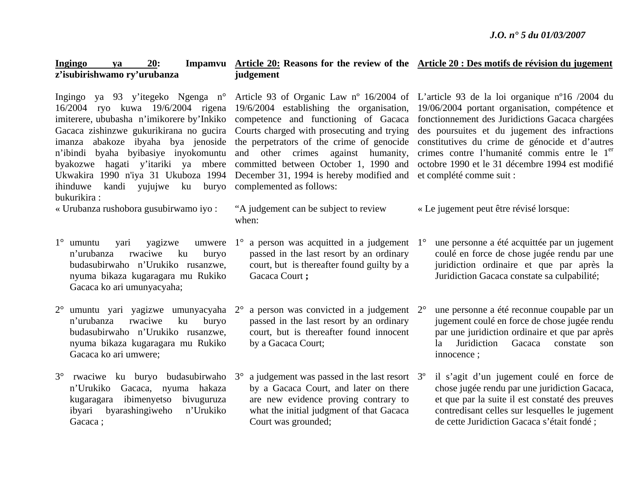#### **Ingingo ya 20: Impamvu Article 20: Reasons for the review of the Article 20 : Des motifs de révision du jugement <sup>z</sup>'isubirishwamo ry'urubanza judgement**

ihinduwe kandi yujujwe ku buryo complemented as follows: bukurikira :

- « Urubanza rushobora gusubirwamo iyo :
- $1^\circ$  umuntu yari yagizwe <sup>n</sup>'urubanza rwaciwe ku buryo budasubirwaho n'Urukiko rusanzwe, nyuma bikaza kugaragara mu Rukiko Gacaca ko ari umunyacyaha; umwere  $1^\circ$
- 2° umuntu yari yagizwe umunyacyaha 2°<sup>n</sup>'urubanza rwaciwe ku buryo budasubirwaho n'Urukiko rusanzwe, nyuma bikaza kugaragara mu Rukiko Gacaca ko ari umwere;
- 3° rwaciwe ku buryo budasubirwaho 3°<sup>n</sup>'Urukiko Gacaca, nyuma hakaza kugaragara ibimenyetso bivuguruza ibyari byarashingiweho n'Urukiko Gacaca :

16/2004 ryo kuwa 19/6/2004 rigena 19/6/2004 establishing the organisation, imiterere, ububasha n'imikorere by'Inkiko competence and functioning of Gacaca Gacaca zishinzwe gukurikirana no gucira Courts charged with prosecuting and trying <sup>n</sup>'ibindi byaha byibasiye inyokomuntu and other crimes against humanity, byakozwe hagati y'itariki ya mbere committed between October 1, 1990 and Ukwakira 1990 n'iya 31 Ukuboza 1994 December 31, 1994 is hereby modified and et complété comme suit :

- "A judgement can be subject to review when:
- a person was acquitted in a judgement 1<sup>o</sup> passed in the last resort by an ordinary court, but is thereafter found guilty by a Gacaca Court **;**
- a person was convicted in a judgement  $2^{\circ}$ passed in the last resort by an ordinary court, but is thereafter found innocent by a Gacaca Court;
- a judgement was passed in the last resort 3<sup>o</sup> by a Gacaca Court, and later on there are new evidence proving contrary to what the initial judgment of that Gacaca Court was grounded;

Ingingo ya 93 y'itegeko Ngenga n° Article 93 of Organic Law nº 16/2004 of L'article 93 de la loi organique nº16 /2004 du imanza abakoze ibyaha bya jenoside the perpetrators of the crime of genocide constitutives du crime de génocide et d'autres 19/06/2004 portant organisation, compétence et fonctionnement des Juridictions Gacaca chargées des poursuites et du jugement des infractions crimes contre l'humanité commis entre le 1<sup>er</sup> octobre 1990 et le 31 décembre 1994 est modifié

- « Le jugement peut être révisé lorsque:
	- 1° une personne a été acquittée par un jugement coulé en force de chose jugée rendu par une juridiction ordinaire et que par après la Juridiction Gacaca constate sa culpabilité;
	- 2° une personne a été reconnue coupable par un jugement coulé en force de chose jugée rendu par une juridiction ordinaire et que par après la Juridiction Gacaca constate son innocence ;
	- 3º il s'agit d'un jugement coulé en force de chose jugée rendu par une juridiction Gacaca, et que par la suite il est constaté des preuves contredisant celles sur lesquelles le jugement de cette Juridiction Gacaca s'était fondé ;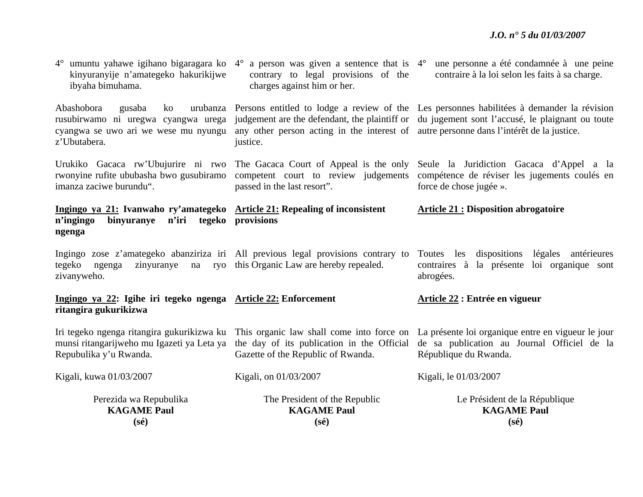| Perezida wa Repubulika<br><b>KAGAME Paul</b><br>$(s\acute{e})$                                                                          | The President of the Republic<br><b>KAGAME Paul</b><br>$(s\acute{e})$                                                                            | Le Président de la République<br><b>KAGAME Paul</b><br>$(s\acute{e})$                                                                                                                                |
|-----------------------------------------------------------------------------------------------------------------------------------------|--------------------------------------------------------------------------------------------------------------------------------------------------|------------------------------------------------------------------------------------------------------------------------------------------------------------------------------------------------------|
| Kigali, kuwa 01/03/2007                                                                                                                 | Kigali, on 01/03/2007                                                                                                                            | Kigali, le 01/03/2007                                                                                                                                                                                |
| Iri tegeko ngenga ritangira gukurikizwa ku<br>munsi ritangarijweho mu Igazeti ya Leta ya<br>Repubulika y'u Rwanda.                      | This organic law shall come into force on<br>the day of its publication in the Official<br>Gazette of the Republic of Rwanda.                    | La présente loi organique entre en vigueur le jour<br>de sa publication au Journal Officiel de la<br>République du Rwanda.                                                                           |
| Ingingo ya 22: Igihe iri tegeko ngenga Article 22: Enforcement<br>ritangira gukurikizwa                                                 |                                                                                                                                                  | Article 22 : Entrée en vigueur                                                                                                                                                                       |
| tegeko ngenga<br>zivanyweho.                                                                                                            | Ingingo zose z'amategeko abanziriza iri All previous legal provisions contrary to<br>zinyuranye na ryo this Organic Law are hereby repealed.     | dispositions légales antérieures<br>Toutes les<br>contraires à la présente loi organique sont<br>abrogées.                                                                                           |
| Ingingo ya 21: Ivanwaho ry'amategeko Article 21: Repealing of inconsistent<br>n'ingingo<br>binyuranye n'iri tegeko provisions<br>ngenga |                                                                                                                                                  | <b>Article 21 : Disposition abrogatoire</b>                                                                                                                                                          |
| rwonyine rufite ububasha bwo gusubiramo<br>imanza zaciwe burundu".                                                                      | Urukiko Gacaca rw'Ubujurire ni rwo The Gacaca Court of Appeal is the only<br>competent court to review judgements<br>passed in the last resort". | Seule la Juridiction Gacaca d'Appel a la<br>compétence de réviser les jugements coulés en<br>force de chose jugée ».                                                                                 |
| Abashobora<br>gusaba<br>ko<br>rusubirwamo ni uregwa cyangwa urega<br>cyangwa se uwo ari we wese mu nyungu<br>z'Ubutabera.               | any other person acting in the interest of autre personne dans l'intérêt de la justice.<br>justice.                                              | urubanza Persons entitled to lodge a review of the Les personnes habilitées à demander la révision<br>judgement are the defendant, the plaintiff or du jugement sont l'accusé, le plaignant ou toute |
| $4^{\circ}$ umuntu yahawe igihano bigaragara ko $4^{\circ}$<br>kinyuranyije n'amategeko hakurikijwe<br>ibyaha bimuhama.                 | a person was given a sentence that is $4^{\circ}$<br>contrary to legal provisions of the<br>charges against him or her.                          | une personne a été condamnée à une peine<br>contraire à la loi selon les faits à sa charge.                                                                                                          |